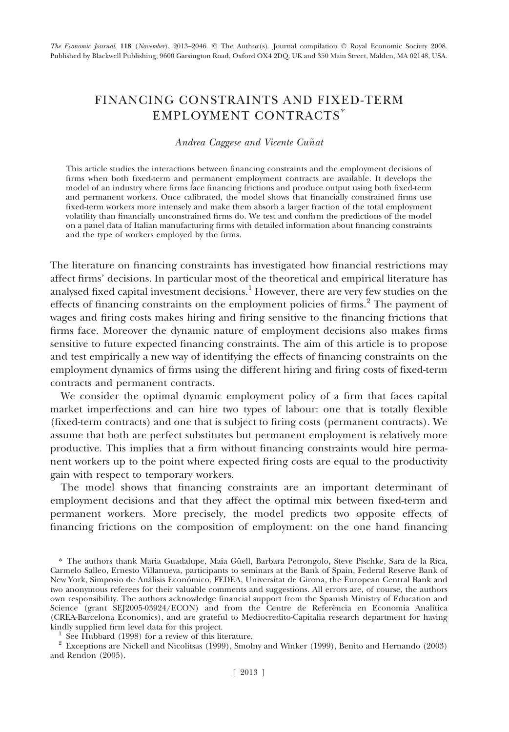# FINANCING CONSTRAINTS AND FIXED-TERM EMPLOYMENT CONTRACTS\*

#### Andrea Caggese and Vicente Cuñat

This article studies the interactions between financing constraints and the employment decisions of firms when both fixed-term and permanent employment contracts are available. It develops the model of an industry where firms face financing frictions and produce output using both fixed-term and permanent workers. Once calibrated, the model shows that financially constrained firms use fixed-term workers more intensely and make them absorb a larger fraction of the total employment volatility than financially unconstrained firms do. We test and confirm the predictions of the model on a panel data of Italian manufacturing firms with detailed information about financing constraints and the type of workers employed by the firms.

The literature on financing constraints has investigated how financial restrictions may affect firms' decisions. In particular most of the theoretical and empirical literature has analysed fixed capital investment decisions.<sup>1</sup> However, there are very few studies on the effects of financing constraints on the employment policies of firms.<sup>2</sup> The payment of wages and firing costs makes hiring and firing sensitive to the financing frictions that firms face. Moreover the dynamic nature of employment decisions also makes firms sensitive to future expected financing constraints. The aim of this article is to propose and test empirically a new way of identifying the effects of financing constraints on the employment dynamics of firms using the different hiring and firing costs of fixed-term contracts and permanent contracts.

We consider the optimal dynamic employment policy of a firm that faces capital market imperfections and can hire two types of labour: one that is totally flexible (fixed-term contracts) and one that is subject to firing costs (permanent contracts). We assume that both are perfect substitutes but permanent employment is relatively more productive. This implies that a firm without financing constraints would hire permanent workers up to the point where expected firing costs are equal to the productivity gain with respect to temporary workers.

The model shows that financing constraints are an important determinant of employment decisions and that they affect the optimal mix between fixed-term and permanent workers. More precisely, the model predicts two opposite effects of financing frictions on the composition of employment: on the one hand financing

\* The authors thank Maria Guadalupe, Maia Gu¨ell, Barbara Petrongolo, Steve Pischke, Sara de la Rica, Carmelo Salleo, Ernesto Villanueva, participants to seminars at the Bank of Spain, Federal Reserve Bank of New York, Simposio de Análisis Económico, FEDEA, Universitat de Girona, the European Central Bank and two anonymous referees for their valuable comments and suggestions. All errors are, of course, the authors own responsibility. The authors acknowledge financial support from the Spanish Ministry of Education and Science (grant SEJ2005-03924/ECON) and from the Centre de Referencia en Economia Analítica (CREA-Barcelona Economics), and are grateful to Mediocredito-Capitalia research department for having

<sup>1</sup> See Hubbard (1998) for a review of this literature. <sup>2</sup> Exceptions are Nickell and Nicolitsas (1999), Smolny and Winker (1999), Benito and Hernando (2003) and Rendon (2005).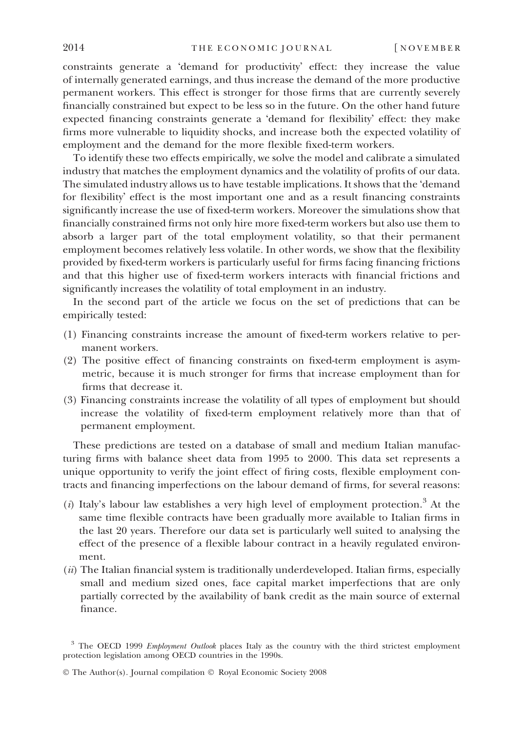constraints generate a 'demand for productivity' effect: they increase the value of internally generated earnings, and thus increase the demand of the more productive permanent workers. This effect is stronger for those firms that are currently severely financially constrained but expect to be less so in the future. On the other hand future expected financing constraints generate a 'demand for flexibility' effect: they make firms more vulnerable to liquidity shocks, and increase both the expected volatility of employment and the demand for the more flexible fixed-term workers.

To identify these two effects empirically, we solve the model and calibrate a simulated industry that matches the employment dynamics and the volatility of profits of our data. The simulated industry allows us to have testable implications. It shows that the 'demand for flexibility effect is the most important one and as a result financing constraints significantly increase the use of fixed-term workers. Moreover the simulations show that financially constrained firms not only hire more fixed-term workers but also use them to absorb a larger part of the total employment volatility, so that their permanent employment becomes relatively less volatile. In other words, we show that the flexibility provided by fixed-term workers is particularly useful for firms facing financing frictions and that this higher use of fixed-term workers interacts with financial frictions and significantly increases the volatility of total employment in an industry.

In the second part of the article we focus on the set of predictions that can be empirically tested:

- (1) Financing constraints increase the amount of fixed-term workers relative to permanent workers.
- (2) The positive effect of financing constraints on fixed-term employment is asymmetric, because it is much stronger for firms that increase employment than for firms that decrease it.
- (3) Financing constraints increase the volatility of all types of employment but should increase the volatility of fixed-term employment relatively more than that of permanent employment.

These predictions are tested on a database of small and medium Italian manufacturing firms with balance sheet data from 1995 to 2000. This data set represents a unique opportunity to verify the joint effect of firing costs, flexible employment contracts and financing imperfections on the labour demand of firms, for several reasons:

- (i) Italy's labour law establishes a very high level of employment protection.<sup>3</sup> At the same time flexible contracts have been gradually more available to Italian firms in the last 20 years. Therefore our data set is particularly well suited to analysing the effect of the presence of a flexible labour contract in a heavily regulated environment.
- (ii) The Italian financial system is traditionally underdeveloped. Italian firms, especially small and medium sized ones, face capital market imperfections that are only partially corrected by the availability of bank credit as the main source of external finance.

<sup>&</sup>lt;sup>3</sup> The OECD 1999 *Employment Outlook* places Italy as the country with the third strictest employment protection legislation among OECD countries in the 1990s.

<sup>©</sup> The Author(s). Journal compilation © Royal Economic Society 2008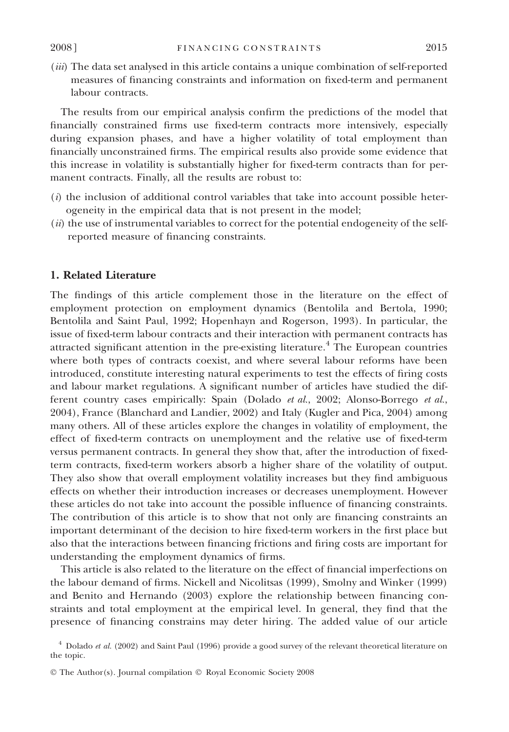(*iii*) The data set analysed in this article contains a unique combination of self-reported measures of financing constraints and information on fixed-term and permanent labour contracts.

The results from our empirical analysis confirm the predictions of the model that financially constrained firms use fixed-term contracts more intensively, especially during expansion phases, and have a higher volatility of total employment than financially unconstrained firms. The empirical results also provide some evidence that this increase in volatility is substantially higher for fixed-term contracts than for permanent contracts. Finally, all the results are robust to:

- $(i)$  the inclusion of additional control variables that take into account possible heterogeneity in the empirical data that is not present in the model;
- $(ii)$  the use of instrumental variables to correct for the potential endogeneity of the selfreported measure of financing constraints.

### 1. Related Literature

The findings of this article complement those in the literature on the effect of employment protection on employment dynamics (Bentolila and Bertola, 1990; Bentolila and Saint Paul, 1992; Hopenhayn and Rogerson, 1993). In particular, the issue of fixed-term labour contracts and their interaction with permanent contracts has attracted significant attention in the pre-existing literature.<sup>4</sup> The European countries where both types of contracts coexist, and where several labour reforms have been introduced, constitute interesting natural experiments to test the effects of firing costs and labour market regulations. A significant number of articles have studied the different country cases empirically: Spain (Dolado et al., 2002; Alonso-Borrego et al., 2004), France (Blanchard and Landier, 2002) and Italy (Kugler and Pica, 2004) among many others. All of these articles explore the changes in volatility of employment, the effect of fixed-term contracts on unemployment and the relative use of fixed-term versus permanent contracts. In general they show that, after the introduction of fixedterm contracts, fixed-term workers absorb a higher share of the volatility of output. They also show that overall employment volatility increases but they find ambiguous effects on whether their introduction increases or decreases unemployment. However these articles do not take into account the possible influence of financing constraints. The contribution of this article is to show that not only are financing constraints an important determinant of the decision to hire fixed-term workers in the first place but also that the interactions between financing frictions and firing costs are important for understanding the employment dynamics of firms.

This article is also related to the literature on the effect of financial imperfections on the labour demand of firms. Nickell and Nicolitsas (1999), Smolny and Winker (1999) and Benito and Hernando (2003) explore the relationship between financing constraints and total employment at the empirical level. In general, they find that the presence of financing constrains may deter hiring. The added value of our article

<sup>&</sup>lt;sup>4</sup> Dolado et al. (2002) and Saint Paul (1996) provide a good survey of the relevant theoretical literature on the topic.

<sup>©</sup> The Author(s). Journal compilation © Royal Economic Society 2008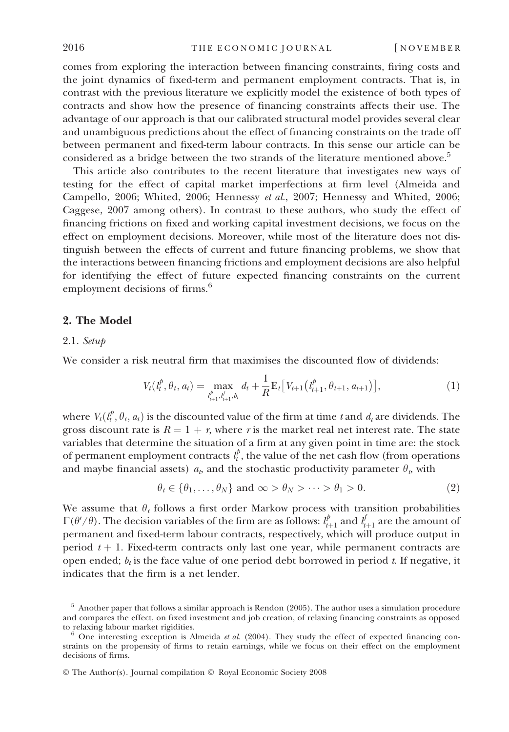comes from exploring the interaction between financing constraints, firing costs and the joint dynamics of fixed-term and permanent employment contracts. That is, in contrast with the previous literature we explicitly model the existence of both types of contracts and show how the presence of financing constraints affects their use. The advantage of our approach is that our calibrated structural model provides several clear and unambiguous predictions about the effect of financing constraints on the trade off between permanent and fixed-term labour contracts. In this sense our article can be considered as a bridge between the two strands of the literature mentioned above.<sup>5</sup>

This article also contributes to the recent literature that investigates new ways of testing for the effect of capital market imperfections at firm level (Almeida and Campello, 2006; Whited, 2006; Hennessy et al., 2007; Hennessy and Whited, 2006; Caggese, 2007 among others). In contrast to these authors, who study the effect of financing frictions on fixed and working capital investment decisions, we focus on the effect on employment decisions. Moreover, while most of the literature does not distinguish between the effects of current and future financing problems, we show that the interactions between financing frictions and employment decisions are also helpful for identifying the effect of future expected financing constraints on the current employment decisions of firms.<sup>6</sup>

#### 2. The Model

### 2.1. Setup

We consider a risk neutral firm that maximises the discounted flow of dividends:

$$
V_t(l_t^p, \theta_t, a_t) = \max_{l_{t+1}^p, l_{t+1}^f, b_t} d_t + \frac{1}{R} \mathcal{E}_t \big[ V_{t+1}\big(l_{t+1}^p, \theta_{t+1}, a_{t+1}\big) \big],\tag{1}
$$

where  $V_t(l_t^{\cancel{p}}, \theta_t, a_t)$  is the discounted value of the firm at time  $t$  and  $d_t$  are dividends. The gross discount rate is  $R = 1 + r$ , where r is the market real net interest rate. The state variables that determine the situation of a firm at any given point in time are: the stock of permanent employment contracts  $l_t^{\hat{p}}$ , the value of the net cash flow (from operations and maybe financial assets)  $a_t$ , and the stochastic productivity parameter  $\theta_t$ , with

$$
\theta_t \in \{\theta_1, \dots, \theta_N\} \text{ and } \infty > \theta_N > \dots > \theta_1 > 0. \tag{2}
$$

We assume that  $\theta_t$  follows a first order Markow process with transition probabilities  $\Gamma(\theta'/\theta)$ . The decision variables of the firm are as follows:  $l_{t+1}^{\hat{p}}$  and  $l_{t+1}^{\hat{p}}$  are the amount of permanent and fixed-term labour contracts, respectively, which will produce output in period  $t + 1$ . Fixed-term contracts only last one year, while permanent contracts are open ended;  $b_t$  is the face value of one period debt borrowed in period t. If negative, it indicates that the firm is a net lender.

<sup>5</sup> Another paper that follows a similar approach is Rendon (2005). The author uses a simulation procedure and compares the effect, on fixed investment and job creation, of relaxing financing constraints as opposed to relaxing labour market rigidities.

<sup>&</sup>lt;sup>6</sup> One interesting exception is Almeida *et al.* (2004). They study the effect of expected financing constraints on the propensity of firms to retain earnings, while we focus on their effect on the employment decisions of firms.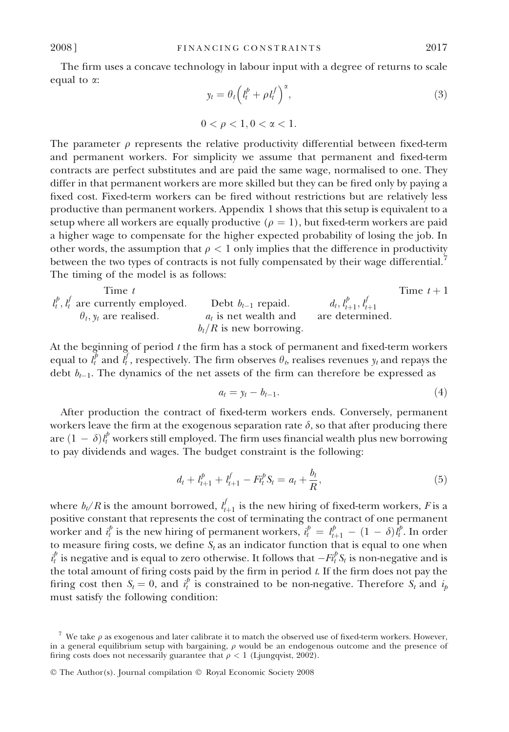The firm uses a concave technology in labour input with a degree of returns to scale equal to  $\alpha$ :

$$
y_t = \theta_t \left( l_t^b + \rho l_t^f \right)^{\alpha}, \tag{3}
$$

$$
0 < \rho < 1, 0 < \alpha < 1.
$$

The parameter  $\rho$  represents the relative productivity differential between fixed-term and permanent workers. For simplicity we assume that permanent and fixed-term contracts are perfect substitutes and are paid the same wage, normalised to one. They differ in that permanent workers are more skilled but they can be fired only by paying a fixed cost. Fixed-term workers can be fired without restrictions but are relatively less productive than permanent workers. Appendix 1 shows that this setup is equivalent to a setup where all workers are equally productive ( $\rho = 1$ ), but fixed-term workers are paid a higher wage to compensate for the higher expected probability of losing the job. In other words, the assumption that  $\rho < 1$  only implies that the difference in productivity between the two types of contracts is not fully compensated by their wage differential.<sup>7</sup> The timing of the model is as follows:

Time  $t + 1$  $l_t^p$ ,  $l_t^f$  are currently employed. Debt  $b_{t-1}$  repaid.  $d_t, l_t$  $t_{t+1}^p, t_{t+1}^f$  $\theta_t$ ,  $y_t$  are realised.  $a_t$  is net wealth and are determined.  $b_t/R$  is new borrowing.

At the beginning of period  $t$  the firm has a stock of permanent and fixed-term workers equal to  $\vec{l}_t^p$  and  $\vec{l}_t^f$ , respectively. The firm observes  $\theta_t$ , realises revenues  $y_t$  and repays the debt  $b_{t-1}$ . The dynamics of the net assets of the firm can therefore be expressed as

$$
a_t = y_t - b_{t-1}.\tag{4}
$$

After production the contract of fixed-term workers ends. Conversely, permanent workers leave the firm at the exogenous separation rate  $\delta$ , so that after producing there are  $(1 - \delta)l_t^p$  workers still employed. The firm uses financial wealth plus new borrowing to pay dividends and wages. The budget constraint is the following:

$$
d_t + l_{t+1}^p + l_{t+1}^f - F_t^p S_t = a_t + \frac{b_t}{R},
$$
\n(5)

where  $b_{t}/R$  is the amount borrowed,  $l_{t+1}^{f}$  is the new hiring of fixed-term workers, F is a positive constant that represents the cost of terminating the contract of one permanent worker and  $i_t^b$  is the new hiring of permanent workers,  $i_t^b = l_{t+1}^b - (1 - \delta) \hat{l}_t^b$ . In order to measure firing costs, we define  $S_t$  as an indicator function that is equal to one when  $i_t^{\hat{p}}$  is negative and is equal to zero otherwise. It follows that  $-F_i^{\hat{p}}S_i$  is non-negative and is the total amount of firing costs paid by the firm in period  $t$ . If the firm does not pay the firing cost then  $S_t = 0$ , and  $i_t^{\hat{p}}$  is constrained to be non-negative. Therefore  $S_t$  and  $i_t$ must satisfy the following condition:

<sup>&</sup>lt;sup>7</sup> We take  $\rho$  as exogenous and later calibrate it to match the observed use of fixed-term workers. However, in a general equilibrium setup with bargaining,  $\rho$  would be an endogenous outcome and the presence of firing costs does not necessarily guarantee that  $\rho < 1$  (Ljungqvist, 2002).

<sup>©</sup> The Author(s). Journal compilation © Royal Economic Society 2008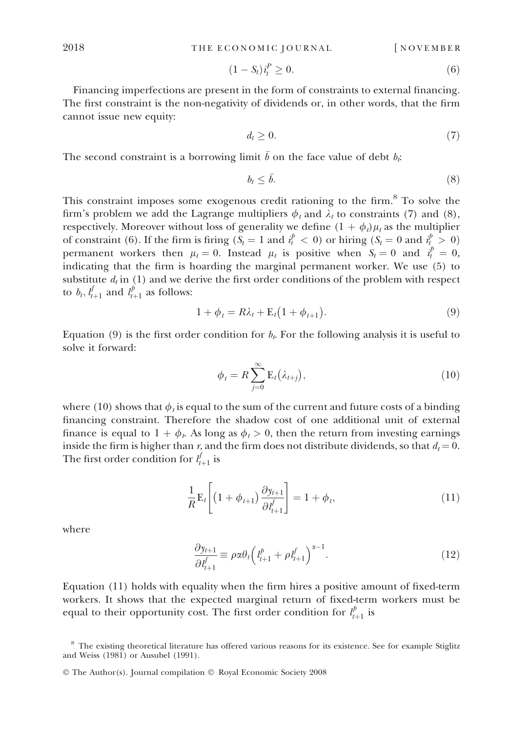$$
(1 - S_t) i_t^P \ge 0. \tag{6}
$$

Financing imperfections are present in the form of constraints to external financing. The first constraint is the non-negativity of dividends or, in other words, that the firm cannot issue new equity:

$$
d_t \geq 0. \tag{7}
$$

The second constraint is a borrowing limit  $\bar{b}$  on the face value of debt  $b_i$ :

$$
b_t \leq \bar{b}.\tag{8}
$$

This constraint imposes some exogenous credit rationing to the firm.<sup>8</sup> To solve the firm's problem we add the Lagrange multipliers  $\phi_t$  and  $\lambda_t$  to constraints (7) and (8), respectively. Moreover without loss of generality we define  $(1 + \phi_i)\mu_i$  as the multiplier of constraint (6). If the firm is firing  $(S_t = 1 \text{ and } i_t^p < 0)$  or hiring  $(S_t = 0 \text{ and } i_t^p > 0)$ permanent workers then  $\mu_t = 0$ . Instead  $\mu_t$  is positive when  $S_t = 0$  and  $i_t^p = 0$ , indicating that the firm is hoarding the marginal permanent worker. We use (5) to substitute  $d_t$  in (1) and we derive the first order conditions of the problem with respect to  $b_t$ ,  $l_{t+1}^f$  and  $l_{t+1}^p$  as follows:

$$
1 + \phi_t = R\lambda_t + \mathcal{E}_t \left( 1 + \phi_{t+1} \right). \tag{9}
$$

Equation (9) is the first order condition for  $b_t$ . For the following analysis it is useful to solve it forward:

$$
\phi_t = R \sum_{j=0}^{\infty} \mathcal{E}_t(\lambda_{t+j}), \qquad (10)
$$

where (10) shows that  $\phi_t$  is equal to the sum of the current and future costs of a binding financing constraint. Therefore the shadow cost of one additional unit of external finance is equal to  $1 + \phi_t$ . As long as  $\phi_t > 0$ , then the return from investing earnings inside the firm is higher than r, and the firm does not distribute dividends, so that  $d_l = 0$ . The first order condition for  $l_{t+1}^f$  is

$$
\frac{1}{R} \mathbf{E}_t \left[ \left( 1 + \phi_{t+1} \right) \frac{\partial y_{t+1}}{\partial t'_{t+1}} \right] = 1 + \phi_t,
$$
\n(11)

where

$$
\frac{\partial y_{t+1}}{\partial t_{t+1}^f} \equiv \rho \alpha \theta_t \left( t_{t+1}^p + \rho t_{t+1}^f \right)^{\alpha - 1} . \tag{12}
$$

Equation (11) holds with equality when the firm hires a positive amount of fixed-term workers. It shows that the expected marginal return of fixed-term workers must be equal to their opportunity cost. The first order condition for  $l_{t+1}^{p}$  is

<sup>8</sup> The existing theoretical literature has offered various reasons for its existence. See for example Stiglitz and Weiss (1981) or Ausubel (1991).

<sup>©</sup> The Author(s). Journal compilation © Royal Economic Society 2008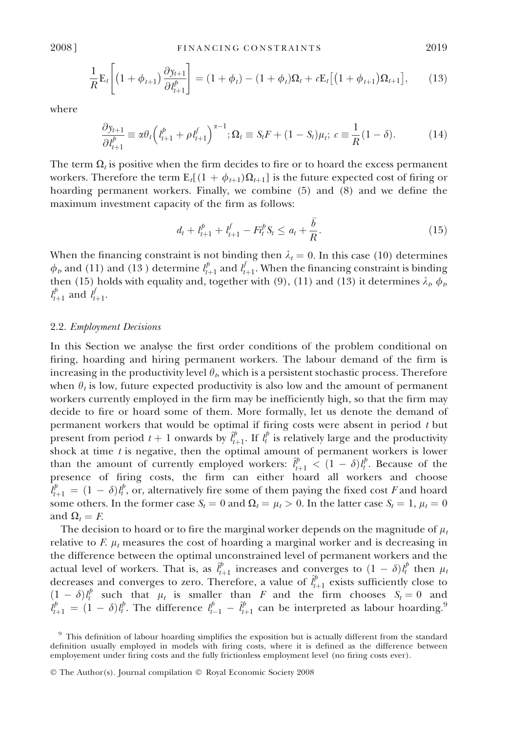$$
\frac{1}{R} \mathbf{E}_{t} \left[ \left( 1 + \phi_{t+1} \right) \frac{\partial y_{t+1}}{\partial t_{t+1}^{\rho}} \right] = (1 + \phi_{t}) - (1 + \phi_{t}) \Omega_{t} + c \mathbf{E}_{t} \left[ \left( 1 + \phi_{t+1} \right) \Omega_{t+1} \right], \tag{13}
$$

where

$$
\frac{\partial y_{t+1}}{\partial l_{t+1}^p} \equiv \alpha \theta_t \left( l_{t+1}^p + \rho l_{t+1}^f \right)^{\alpha - 1}; \Omega_t \equiv S_t F + (1 - S_t) \mu_t; \ c \equiv \frac{1}{R} (1 - \delta). \tag{14}
$$

The term  $\Omega_t$  is positive when the firm decides to fire or to hoard the excess permanent workers. Therefore the term  $E_t[(1 + \phi_{t+1})\Omega_{t+1}]$  is the future expected cost of firing or hoarding permanent workers. Finally, we combine (5) and (8) and we define the maximum investment capacity of the firm as follows:

$$
d_{t} + l_{t+1}^{p} + l_{t+1}^{f} - Fi_{t}^{p} S_{t} \leq a_{t} + \frac{\bar{b}}{R}.
$$
\n(15)

When the financing constraint is not binding then  $\lambda_t = 0$ . In this case (10) determines  $\phi_b$  and (11) and (13) determine  $l_{t+1}^b$  and  $l_{t+1}^f$ . When the financing constraint is binding then (15) holds with equality and, together with (9), (11) and (13) it determines  $\lambda_t$ ,  $\phi_t$ ,  $l_{t+1}^p$  and  $l_{t+1}^f$ .

#### 2.2. Employment Decisions

In this Section we analyse the first order conditions of the problem conditional on firing, hoarding and hiring permanent workers. The labour demand of the firm is increasing in the productivity level  $\theta$ , which is a persistent stochastic process. Therefore when  $\theta_t$  is low, future expected productivity is also low and the amount of permanent workers currently employed in the firm may be inefficiently high, so that the firm may decide to fire or hoard some of them. More formally, let us denote the demand of permanent workers that would be optimal if firing costs were absent in period  $t$  but present from period  $t + 1$  onwards by  $\hat{l}_{t+1}^b$ . If  $l_t^b$  is relatively large and the productivity shock at time  $t$  is negative, then the optimal amount of permanent workers is lower than the amount of currently employed workers:  $\hat{l}^p_{t+1} < (1 - \delta)l^p_t$ . Because of the presence of firing costs, the firm can either hoard all workers and choose  $\hat{l}^{\rho}_{t+1} = (1 - \delta) l^{\rho}_t$ , or, alternatively fire some of them paying the fixed cost F and hoard some others. In the former case  $S_t = 0$  and  $\Omega_t = \mu_t > 0$ . In the latter case  $S_t = 1$ ,  $\mu_t = 0$ and  $\Omega_t = F$ .

The decision to hoard or to fire the marginal worker depends on the magnitude of  $\mu_t$ relative to F.  $\mu$ , measures the cost of hoarding a marginal worker and is decreasing in the difference between the optimal unconstrained level of permanent workers and the actual level of workers. That is, as  $\hat{l}_{t+1}^b$  increases and converges to  $(1 - \delta)l_t^b$  then  $\mu_i$ decreases and converges to zero. Therefore, a value of  $\hat{l}_{t+1}^p$  exists sufficiently close to  $(1 - \delta) l_t^b$  such that  $\mu_t$  is smaller than F and the firm chooses  $S_t = 0$  and  $l_{t+1}^p = (1 - \delta)l_t^p$ . The difference  $l_{t-1}^p - \hat{l}_{t+1}^p$  can be interpreted as labour hoarding.<sup>9</sup>

<sup>&</sup>lt;sup>9</sup> This definition of labour hoarding simplifies the exposition but is actually different from the standard definition usually employed in models with firing costs, where it is defined as the difference between employement under firing costs and the fully frictionless employment level (no firing costs ever).

<sup>©</sup> The Author(s). Journal compilation © Royal Economic Society 2008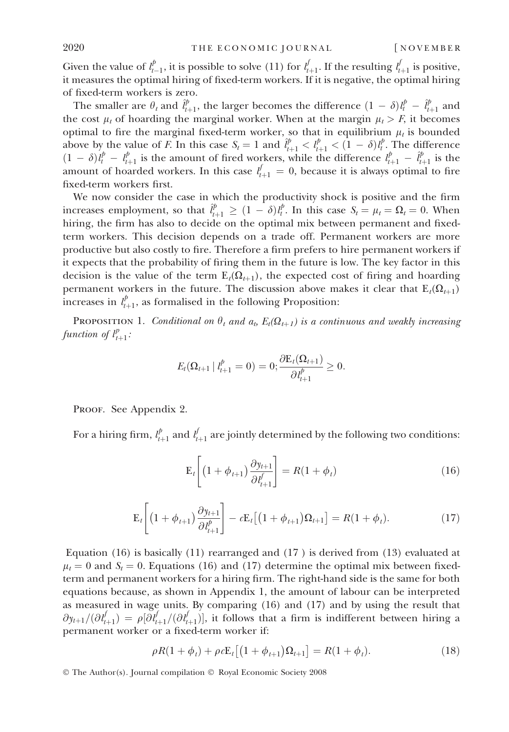Given the value of  $l_{t-1}^{\cancel{p}}$ , it is possible to solve (11) for  $l_{t+1}^{\cancel{p}}$ . If the resulting  $l_{t+1}^{\cancel{p}}$  is positive, it measures the optimal hiring of fixed-term workers. If it is negative, the optimal hiring of fixed-term workers is zero.

The smaller are  $\theta_t$  and  $\hat{l}^p_{t+1}$ , the larger becomes the difference  $(1 - \delta)l^p_t - \hat{l}^p_{t+1}$  and the cost  $\mu_t$  of hoarding the marginal worker. When at the margin  $\mu_t > F$ , it becomes optimal to fire the marginal fixed-term worker, so that in equilibrium  $\mu_t$  is bounded above by the value of F. In this case  $S_t = 1$  and  $\hat{l}_{t+1}^p < \hat{l}_{t+1}^p < (1 - \delta)l_t^p$ . The difference  $(1 - \delta)l_t^b - l_{t+1}^b$  is the amount of fired workers, while the difference  $l_{t+1}^b - l_{t+1}^b$  is the amount of hoarded workers. In this case  $l_{t+1}^f = 0$ , because it is always optimal to fire fixed-term workers first.

We now consider the case in which the productivity shock is positive and the firm increases employment, so that  $\hat{l}^{\rho}_{t+1} \geq (1 - \delta) l^{\rho}_t$ . In this case  $S_t = \mu_t = \Omega_t = 0$ . When hiring, the firm has also to decide on the optimal mix between permanent and fixedterm workers. This decision depends on a trade off. Permanent workers are more productive but also costly to fire. Therefore a firm prefers to hire permanent workers if it expects that the probability of firing them in the future is low. The key factor in this decision is the value of the term  $E_t(\Omega_{t+1})$ , the expected cost of firing and hoarding permanent workers in the future. The discussion above makes it clear that  $E_t(\Omega_{t+1})$ increases in  $l_{t+1}^{p}$ , as formalised in the following Proposition:

**PROPOSITION 1.** Conditional on  $\theta_t$  and  $a_t$ ,  $E_t(\Omega_{t+1})$  is a continuous and weakly increasing function of  $l^p_{t+1}$ :

$$
E_t(\Omega_{t+1} | l^b_{t+1} = 0) = 0; \frac{\partial E_t(\Omega_{t+1})}{\partial l^b_{t+1}} \ge 0.
$$

Proof. See Appendix 2.

For a hiring firm,  $l_{t+1}^{\cancel{p}}$  and  $l_{t+1}^{\cancel{p}}$  are jointly determined by the following two conditions:

$$
\mathbf{E}_{t}\left[ (1+\phi_{t+1}) \frac{\partial y_{t+1}}{\partial t'_{t+1}} \right] = R(1+\phi_{t})
$$
\n(16)

$$
\mathbf{E}_{t}\left[ (1+\phi_{t+1}) \frac{\partial y_{t+1}}{\partial l_{t+1}^{p}} \right] - c \mathbf{E}_{t} \left[ (1+\phi_{t+1}) \Omega_{t+1} \right] = R(1+\phi_{t}). \tag{17}
$$

Equation (16) is basically (11) rearranged and (17 ) is derived from (13) evaluated at  $\mu_t = 0$  and  $S_t = 0$ . Equations (16) and (17) determine the optimal mix between fixedterm and permanent workers for a hiring firm. The right-hand side is the same for both equations because, as shown in Appendix 1, the amount of labour can be interpreted as measured in wage units. By comparing (16) and (17) and by using the result that  $\partial y_{t+1}/(\partial t_{t+1}^f) = \rho[\partial t_{t+1}^f/(\partial t_{t+1}^f)],$  it follows that a firm is indifferent between hiring a permanent worker or a fixed-term worker if:

$$
\rho R(1 + \phi_t) + \rho c E_t [(1 + \phi_{t+1}) \Omega_{t+1}] = R(1 + \phi_t). \tag{18}
$$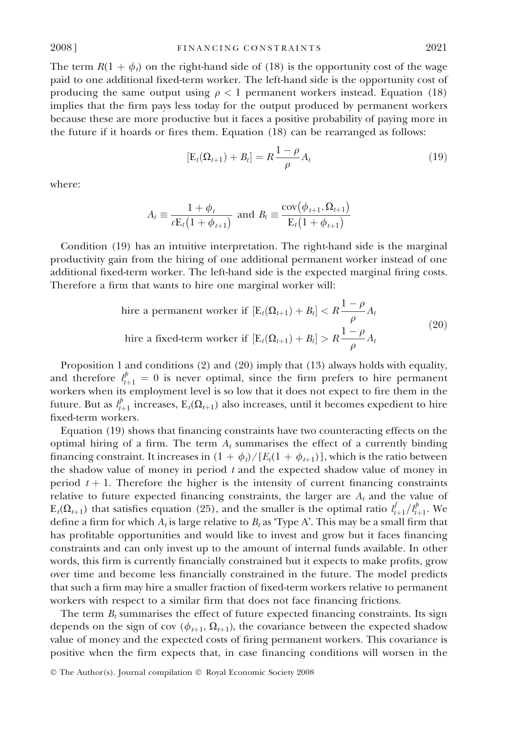The term  $R(1 + \phi_i)$  on the right-hand side of (18) is the opportunity cost of the wage paid to one additional fixed-term worker. The left-hand side is the opportunity cost of producing the same output using  $\rho < 1$  permanent workers instead. Equation (18) implies that the firm pays less today for the output produced by permanent workers because these are more productive but it faces a positive probability of paying more in the future if it hoards or fires them. Equation (18) can be rearranged as follows:

$$
[E_t(\Omega_{t+1}) + B_t] = R \frac{1 - \rho}{\rho} A_t
$$
\n(19)

where:

$$
A_{t} \equiv \frac{1 + \phi_{t}}{cE_{t}(1 + \phi_{t+1})}
$$
 and  $B_{t} \equiv \frac{\text{cov}(\phi_{t+1}, \Omega_{t+1})}{E_{t}(1 + \phi_{t+1})}$ 

Condition (19) has an intuitive interpretation. The right-hand side is the marginal productivity gain from the hiring of one additional permanent worker instead of one additional fixed-term worker. The left-hand side is the expected marginal firing costs. Therefore a firm that wants to hire one marginal worker will:

hire a permanent worker if 
$$
[E_t(\Omega_{t+1}) + B_t] < R \frac{1 - \rho}{\rho} A_t
$$

\nhire a fixed-term worker if 
$$
[E_t(\Omega_{t+1}) + B_t] > R \frac{1 - \rho}{\rho} A_t
$$

\n(20)

Proposition 1 and conditions (2) and (20) imply that (13) always holds with equality, and therefore  $l_{t+1}^{p} = 0$  is never optimal, since the firm prefers to hire permanent workers when its employment level is so low that it does not expect to fire them in the future. But as  $l_{t+1}^{\not p}$  increases,  $\mathrm{E}_{t}(\Omega_{t+1})$  also increases, until it becomes expedient to hire fixed-term workers.

Equation (19) shows that financing constraints have two counteracting effects on the optimal hiring of a firm. The term  $A_t$  summarises the effect of a currently binding financing constraint. It increases in  $(1 + \phi_t) / [E_t(1 + \phi_{t+1})]$ , which is the ratio between the shadow value of money in period  $t$  and the expected shadow value of money in period  $t + 1$ . Therefore the higher is the intensity of current financing constraints relative to future expected financing constraints, the larger are  $A_t$  and the value of  $\mathbb{E}_t(\Omega_{t+1})$  that satisfies equation (25), and the smaller is the optimal ratio  $l_{t+1}^f/l_{t+1}^b$ . We define a firm for which  $A_t$  is large relative to  $B_t$  as 'Type A'. This may be a small firm that has profitable opportunities and would like to invest and grow but it faces financing constraints and can only invest up to the amount of internal funds available. In other words, this firm is currently financially constrained but it expects to make profits, grow over time and become less financially constrained in the future. The model predicts that such a firm may hire a smaller fraction of fixed-term workers relative to permanent workers with respect to a similar firm that does not face financing frictions.

The term  $B_t$  summarises the effect of future expected financing constraints. Its sign depends on the sign of cov ( $\phi_{t+1}, \Omega_{t+1}$ ), the covariance between the expected shadow value of money and the expected costs of firing permanent workers. This covariance is positive when the firm expects that, in case financing conditions will worsen in the

<sup>©</sup> The Author(s). Journal compilation © Royal Economic Society 2008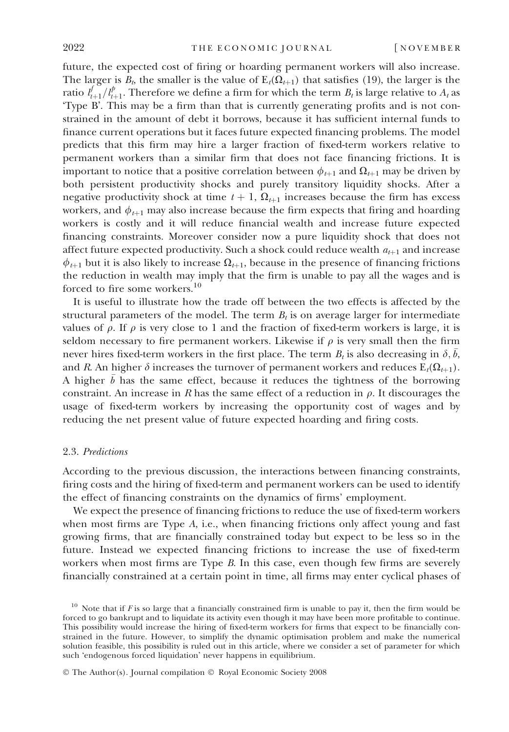future, the expected cost of firing or hoarding permanent workers will also increase. The larger is  $B_t$ , the smaller is the value of  $E_t(\Omega_{t+1})$  that satisfies (19), the larger is the ratio  $l_{t+1}^f/l_{t+1}^p$ . Therefore we define a firm for which the term  $B_t$  is large relative to  $A_t$  as -Type B. This may be a firm than that is currently generating profits and is not constrained in the amount of debt it borrows, because it has sufficient internal funds to finance current operations but it faces future expected financing problems. The model predicts that this firm may hire a larger fraction of fixed-term workers relative to permanent workers than a similar firm that does not face financing frictions. It is important to notice that a positive correlation between  $\phi_{t+1}$  and  $\Omega_{t+1}$  may be driven by both persistent productivity shocks and purely transitory liquidity shocks. After a negative productivity shock at time  $t + 1$ ,  $\Omega_{t+1}$  increases because the firm has excess workers, and  $\phi_{t+1}$  may also increase because the firm expects that firing and hoarding workers is costly and it will reduce financial wealth and increase future expected financing constraints. Moreover consider now a pure liquidity shock that does not affect future expected productivity. Such a shock could reduce wealth  $a_{t+1}$  and increase  $\phi_{t+1}$  but it is also likely to increase  $\Omega_{t+1}$ , because in the presence of financing frictions the reduction in wealth may imply that the firm is unable to pay all the wages and is forced to fire some workers.<sup>10</sup>

It is useful to illustrate how the trade off between the two effects is affected by the structural parameters of the model. The term  $B_t$  is on average larger for intermediate values of  $\rho$ . If  $\rho$  is very close to 1 and the fraction of fixed-term workers is large, it is seldom necessary to fire permanent workers. Likewise if  $\rho$  is very small then the firm never hires fixed-term workers in the first place. The term  $B_t$  is also decreasing in  $\delta, \bar{b}$ , and R. An higher  $\delta$  increases the turnover of permanent workers and reduces  $E_t(\Omega_{t+1})$ . A higher  $\bar{b}$  has the same effect, because it reduces the tightness of the borrowing constraint. An increase in R has the same effect of a reduction in  $\rho$ . It discourages the usage of fixed-term workers by increasing the opportunity cost of wages and by reducing the net present value of future expected hoarding and firing costs.

#### 2.3. Predictions

According to the previous discussion, the interactions between financing constraints, firing costs and the hiring of fixed-term and permanent workers can be used to identify the effect of financing constraints on the dynamics of firms' employment.

We expect the presence of financing frictions to reduce the use of fixed-term workers when most firms are Type A, i.e., when financing frictions only affect young and fast growing firms, that are financially constrained today but expect to be less so in the future. Instead we expected financing frictions to increase the use of fixed-term workers when most firms are Type  $B$ . In this case, even though few firms are severely financially constrained at a certain point in time, all firms may enter cyclical phases of

 $10<sup>10</sup>$  Note that if F is so large that a financially constrained firm is unable to pay it, then the firm would be forced to go bankrupt and to liquidate its activity even though it may have been more profitable to continue. This possibility would increase the hiring of fixed-term workers for firms that expect to be financially constrained in the future. However, to simplify the dynamic optimisation problem and make the numerical solution feasible, this possibility is ruled out in this article, where we consider a set of parameter for which such 'endogenous forced liquidation' never happens in equilibrium.

<sup>©</sup> The Author(s). Journal compilation © Royal Economic Society 2008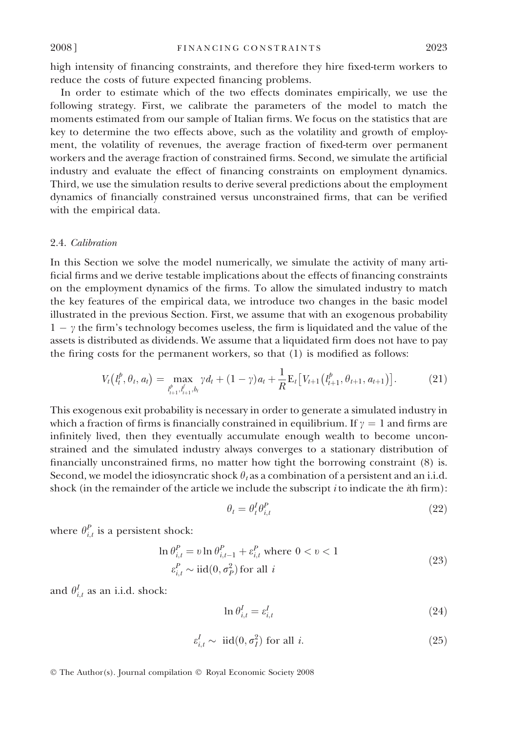high intensity of financing constraints, and therefore they hire fixed-term workers to reduce the costs of future expected financing problems.

In order to estimate which of the two effects dominates empirically, we use the following strategy. First, we calibrate the parameters of the model to match the moments estimated from our sample of Italian firms. We focus on the statistics that are key to determine the two effects above, such as the volatility and growth of employment, the volatility of revenues, the average fraction of fixed-term over permanent workers and the average fraction of constrained firms. Second, we simulate the artificial industry and evaluate the effect of financing constraints on employment dynamics. Third, we use the simulation results to derive several predictions about the employment dynamics of financially constrained versus unconstrained firms, that can be verified with the empirical data.

#### 2.4. Calibration

In this Section we solve the model numerically, we simulate the activity of many artificial firms and we derive testable implications about the effects of financing constraints on the employment dynamics of the firms. To allow the simulated industry to match the key features of the empirical data, we introduce two changes in the basic model illustrated in the previous Section. First, we assume that with an exogenous probability  $1 - \gamma$  the firm's technology becomes useless, the firm is liquidated and the value of the assets is distributed as dividends. We assume that a liquidated firm does not have to pay the firing costs for the permanent workers, so that (1) is modified as follows:

$$
V_t(l_t^p, \theta_t, a_t) = \max_{l_{t+1}^p, l_{t+1}^p, b_t} \gamma d_t + (1 - \gamma) a_t + \frac{1}{R} \mathbb{E}_t \big[ V_{t+1}(l_{t+1}^p, \theta_{t+1}, a_{t+1}) \big]. \tag{21}
$$

This exogenous exit probability is necessary in order to generate a simulated industry in which a fraction of firms is financially constrained in equilibrium. If  $\gamma = 1$  and firms are infinitely lived, then they eventually accumulate enough wealth to become unconstrained and the simulated industry always converges to a stationary distribution of financially unconstrained firms, no matter how tight the borrowing constraint (8) is. Second, we model the idiosyncratic shock  $\theta_t$  as a combination of a persistent and an i.i.d. shock (in the remainder of the article we include the subscript  $i$  to indicate the  $i$ th firm):

$$
\theta_t = \theta_t^I \theta_{i,t}^P \tag{22}
$$

where  $\theta_{i,t}^P$  is a persistent shock:

$$
\ln \theta_{i,t}^P = v \ln \theta_{i,t-1}^P + \varepsilon_{i,t}^P \text{ where } 0 < v < 1
$$
  
\n
$$
\varepsilon_{i,t}^P \sim \text{iid}(0, \sigma_P^2) \text{ for all } i
$$
\n(23)

and  $\theta_{i,t}^{I}$  as an i.i.d. shock:

$$
\ln \theta_{i,t}^I = \varepsilon_{i,t}^I \tag{24}
$$

$$
\varepsilon_{i,t}^I \sim \text{ iid}(0, \sigma_I^2) \text{ for all } i. \tag{25}
$$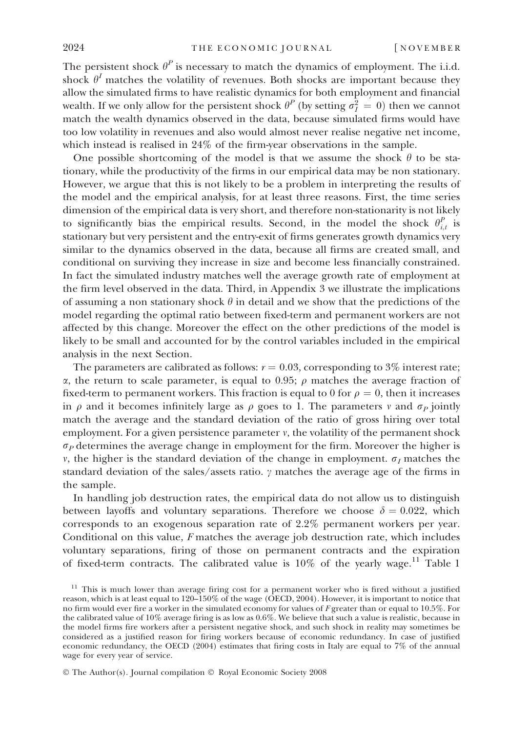The persistent shock  $\theta^P$  is necessary to match the dynamics of employment. The i.i.d. shock  $\theta^I$  matches the volatility of revenues. Both shocks are important because they allow the simulated firms to have realistic dynamics for both employment and financial wealth. If we only allow for the persistent shock  $\theta^P$  (by setting  $\sigma_I^2 = 0$ ) then we cannot match the wealth dynamics observed in the data, because simulated firms would have too low volatility in revenues and also would almost never realise negative net income, which instead is realised in 24% of the firm-year observations in the sample.

One possible shortcoming of the model is that we assume the shock  $\theta$  to be stationary, while the productivity of the firms in our empirical data may be non stationary. However, we argue that this is not likely to be a problem in interpreting the results of the model and the empirical analysis, for at least three reasons. First, the time series dimension of the empirical data is very short, and therefore non-stationarity is not likely to significantly bias the empirical results. Second, in the model the shock  $\theta_{i,t}^P$  is stationary but very persistent and the entry-exit of firms generates growth dynamics very similar to the dynamics observed in the data, because all firms are created small, and conditional on surviving they increase in size and become less financially constrained. In fact the simulated industry matches well the average growth rate of employment at the firm level observed in the data. Third, in Appendix 3 we illustrate the implications of assuming a non stationary shock  $\theta$  in detail and we show that the predictions of the model regarding the optimal ratio between fixed-term and permanent workers are not affected by this change. Moreover the effect on the other predictions of the model is likely to be small and accounted for by the control variables included in the empirical analysis in the next Section.

The parameters are calibrated as follows:  $r = 0.03$ , corresponding to 3% interest rate;  $\alpha$ , the return to scale parameter, is equal to 0.95;  $\rho$  matches the average fraction of fixed-term to permanent workers. This fraction is equal to 0 for  $\rho = 0$ , then it increases in  $\rho$  and it becomes infinitely large as  $\rho$  goes to 1. The parameters v and  $\sigma_P$  jointly match the average and the standard deviation of the ratio of gross hiring over total employment. For a given persistence parameter  $v$ , the volatility of the permanent shock  $\sigma_P$  determines the average change in employment for the firm. Moreover the higher is v, the higher is the standard deviation of the change in employment.  $\sigma_I$  matches the standard deviation of the sales/assets ratio.  $\gamma$  matches the average age of the firms in the sample.

In handling job destruction rates, the empirical data do not allow us to distinguish between layoffs and voluntary separations. Therefore we choose  $\delta = 0.022$ , which corresponds to an exogenous separation rate of 2.2% permanent workers per year. Conditional on this value, F matches the average job destruction rate, which includes voluntary separations, firing of those on permanent contracts and the expiration of fixed-term contracts. The calibrated value is 10% of the yearly wage.<sup>11</sup> Table 1

 $11$  This is much lower than average firing cost for a permanent worker who is fired without a justified reason, which is at least equal to 120–150% of the wage (OECD, 2004). However, it is important to notice that no firm would ever fire a worker in the simulated economy for values of F greater than or equal to  $10.5\%$ . For the calibrated value of 10% average firing is as low as 0.6%. We believe that such a value is realistic, because in the model firms fire workers after a persistent negative shock, and such shock in reality may sometimes be considered as a justified reason for firing workers because of economic redundancy. In case of justified economic redundancy, the OECD (2004) estimates that firing costs in Italy are equal to 7% of the annual wage for every year of service.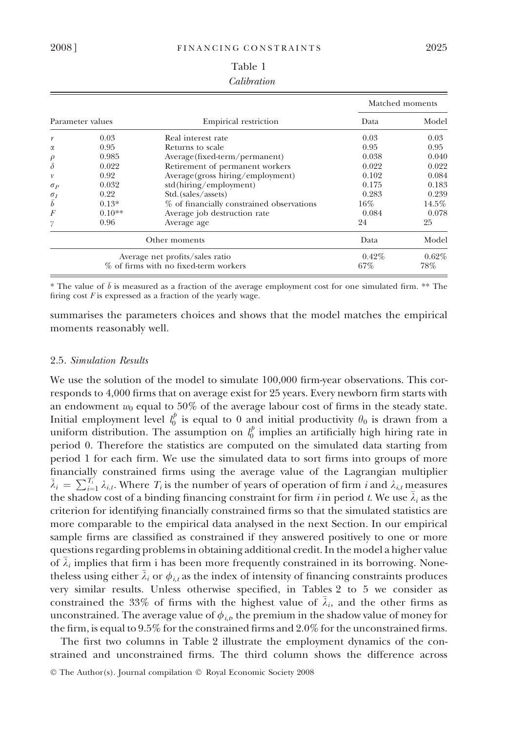|                            |          |                                           |          | Matched moments |
|----------------------------|----------|-------------------------------------------|----------|-----------------|
| Parameter values           |          | <b>Empirical restriction</b>              | Data     | Model           |
| r                          | 0.03     | Real interest rate                        | 0.03     | 0.03            |
| $\alpha$                   | 0.95     | Returns to scale                          | 0.95     | 0.95            |
| $\rho$                     | 0.985    | Average (fixed-term/permanent)            | 0.038    | 0.040           |
| $\delta$                   | 0.022    | Retirement of permanent workers           | 0.022    | 0.022           |
| $\mathcal V$               | 0.92     | Average (gross hiring/employment)         | 0.102    | 0.084           |
| $\sigma_P$                 | 0.032    | std(hiring/employment)                    | 0.175    | 0.183           |
|                            | 0.22     | Std.(sales/assets)                        | 0.283    | 0.239           |
| $\frac{\sigma_I}{\bar{b}}$ | $0.13*$  | % of financially constrained observations | $16\%$   | 14.5%           |
| F                          | $0.10**$ | Average job destruction rate              | 0.084    | 0.078           |
| γ                          | 0.96     | Average age                               | 24       | 25              |
|                            |          | Other moments                             | Data     | Model           |
|                            |          | Average net profits/sales ratio           | $0.42\%$ | $0.62\%$        |
|                            |          | % of firms with no fixed-term workers     | 67%      | 78%             |

## Table 1 Calibration

 $*$  The value of  $\bar{b}$  is measured as a fraction of the average employment cost for one simulated firm.  $**$  The firing cost  $F$  is expressed as a fraction of the yearly wage.

summarises the parameters choices and shows that the model matches the empirical moments reasonably well.

#### 2.5. Simulation Results

We use the solution of the model to simulate  $100,000$  firm-year observations. This corresponds to 4,000 firms that on average exist for 25 years. Every newborn firm starts with an endowment  $w_0$  equal to 50% of the average labour cost of firms in the steady state. Initial employment level  $l_0^p$  is equal to 0 and initial productivity  $\theta_0$  is drawn from a uniform distribution. The assumption on  $l_0^p$  implies an artificially high hiring rate in period 0. Therefore the statistics are computed on the simulated data starting from period 1 for each firm. We use the simulated data to sort firms into groups of more financially constrained firms using the average value of the Lagrangian multiplier  $\bar{\lambda}_i = \sum_{i=1}^{T_i} \lambda_{i,t}$ . Where  $T_i$  is the number of years of operation of firm i and  $\lambda_{i,t}$  measures the shadow cost of a binding financing constraint for firm i in period t. We use  $\bar{\lambda}_i$  as the criterion for identifying financially constrained firms so that the simulated statistics are more comparable to the empirical data analysed in the next Section. In our empirical sample firms are classified as constrained if they answered positively to one or more questions regarding problems in obtaining additional credit. In the model a higher value of  $\bar{\lambda}_i$  implies that firm i has been more frequently constrained in its borrowing. Nonetheless using either  $\lambda_i$  or  $\phi_{i,t}$  as the index of intensity of financing constraints produces very similar results. Unless otherwise specified, in Tables 2 to 5 we consider as constrained the 33% of firms with the highest value of  $\bar{\lambda}_i$ , and the other firms as unconstrained. The average value of  $\phi_{i}$ , the premium in the shadow value of money for the firm, is equal to 9.5% for the constrained firms and 2.0% for the unconstrained firms.

The first two columns in Table 2 illustrate the employment dynamics of the constrained and unconstrained firms. The third column shows the difference across

<sup>©</sup> The Author(s). Journal compilation © Royal Economic Society 2008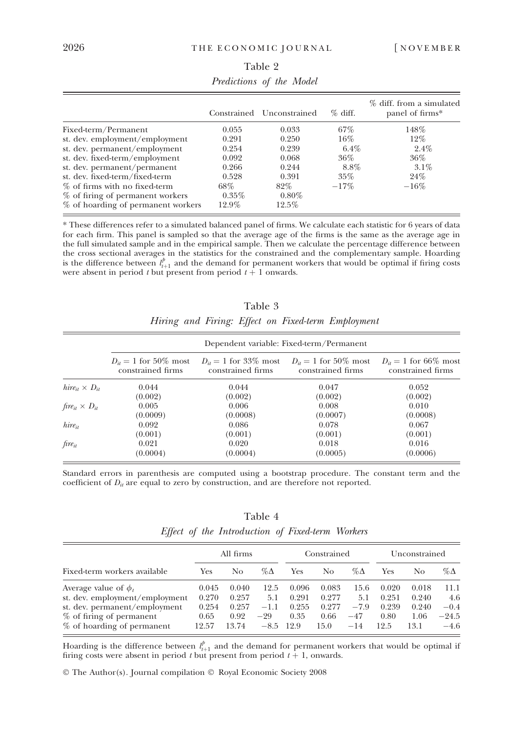|                                    |          | Constrained Unconstrained | $%$ diff. | % diff. from a simulated<br>panel of firms* |
|------------------------------------|----------|---------------------------|-----------|---------------------------------------------|
| Fixed-term/Permanent               | 0.055    | 0.033                     | 67%       | 148%                                        |
| st. dev. employment/employment     | 0.291    | 0.250                     | 16%       | 12%                                         |
| st. dev. permanent/employment      | 0.254    | 0.239                     | $6.4\%$   | $2.4\%$                                     |
| st. dev. fixed-term/employment     | 0.092    | 0.068                     | $36\%$    | $36\%$                                      |
| st. dev. permanent/permanent       | 0.266    | 0.244                     | 8.8%      | $3.1\%$                                     |
| st. dev. fixed-term/fixed-term     | 0.528    | 0.391                     | 35%       | 24%                                         |
| $%$ of firms with no fixed-term    | $68\%$   | $82\%$                    | $-17%$    | $-16\%$                                     |
| % of firing of permanent workers   | $0.35\%$ | $0.80\%$                  |           |                                             |
| % of hoarding of permanent workers | $12.9\%$ | $12.5\%$                  |           |                                             |

## Table 2 Predictions of the Model

\* These differences refer to a simulated balanced panel of firms. We calculate each statistic for 6 years of data for each firm. This panel is sampled so that the average age of the firms is the same as the average age in the full simulated sample and in the empirical sample. Then we calculate the percentage difference between the cross sectional averages in the statistics for the constrained and the complementary sample. Hoarding is the difference between  $l_{i+1}^p$  and the demand for permanent workers that would be optimal if firing costs were absent in period t but present from period  $t + 1$  onwards.

|                                  | Dependent variable: Fixed-term/Permanent |                            |                           |                            |  |  |  |
|----------------------------------|------------------------------------------|----------------------------|---------------------------|----------------------------|--|--|--|
|                                  | $D_{it} = 1$ for 50% most                | $D_{it} = 1$ for 33\% most | $D_{it} = 1$ for 50% most | $D_{it} = 1$ for 66\% most |  |  |  |
|                                  | constrained firms                        | constrained firms          | constrained firms         | constrained firms          |  |  |  |
| $hire_{it} \times D_{it}$        | 0.044                                    | 0.044                      | 0.047                     | 0.052                      |  |  |  |
| $\text{fire}_{it} \times D_{it}$ | (0.002)                                  | (0.002)                    | (0.002)                   | (0.002)                    |  |  |  |
|                                  | 0.005                                    | 0.006                      | 0.008                     | 0.010                      |  |  |  |
| $hire_{it}$                      | (0.0009)                                 | (0.0008)                   | (0.0007)                  | (0.0008)                   |  |  |  |
|                                  | 0.092                                    | 0.086                      | 0.078                     | 0.067                      |  |  |  |
| $\text{fire}_{it}$               | (0.001)                                  | (0.001)                    | (0.001)                   | (0.001)                    |  |  |  |
|                                  | 0.021                                    | 0.020                      | 0.018                     | 0.016                      |  |  |  |
|                                  | (0.0004)                                 | (0.0004)                   | (0.0005)                  | (0.0006)                   |  |  |  |

Table 3 Hiring and Firing: Effect on Fixed-term Employment

Standard errors in parenthesis are computed using a bootstrap procedure. The constant term and the coefficient of  $D_{it}$  are equal to zero by construction, and are therefore not reported.

Table 4 Effect of the Introduction of Fixed-term Workers

|                                | All firms |       | Constrained |       |       | Unconstrained |       |       |             |
|--------------------------------|-----------|-------|-------------|-------|-------|---------------|-------|-------|-------------|
| Fixed-term workers available   | Yes       | Nο    | $\% \Delta$ | Yes   | No    | $\% \Delta$   | Yes   | No    | $\% \Delta$ |
| Average value of $\phi_t$      | 0.045     | 0.040 | 12.5        | 0.096 | 0.083 | 15.6          | 0.020 | 0.018 | 11.1        |
| st. dev. employment/employment | 0.270     | 0.257 | 5.1         | 0.291 | 0.277 | 5.1           | 0.251 | 0.240 | 4.6         |
| st. dev. permanent/employment  | 0.254     | 0.257 | $-1.1$      | 0.255 | 0.277 | $-7.9$        | 0.239 | 0.240 | $-0.4$      |
| % of firing of permanent       | 0.65      | 0.92  | $-29$       | 0.35  | 0.66  | $-47$         | 0.80  | 1.06  | $-24.5$     |
| % of hoarding of permanent     | 12.57     | 13.74 | $-8.5$      | 12.9  | 15.0  | $-14$         | 12.5  | 13.1  | $-4.6$      |

Hoarding is the difference between  $l_{t+1}^{p}$  and the demand for permanent workers that would be optimal if firing costs were absent in period t but present from period  $t + 1$ , onwards.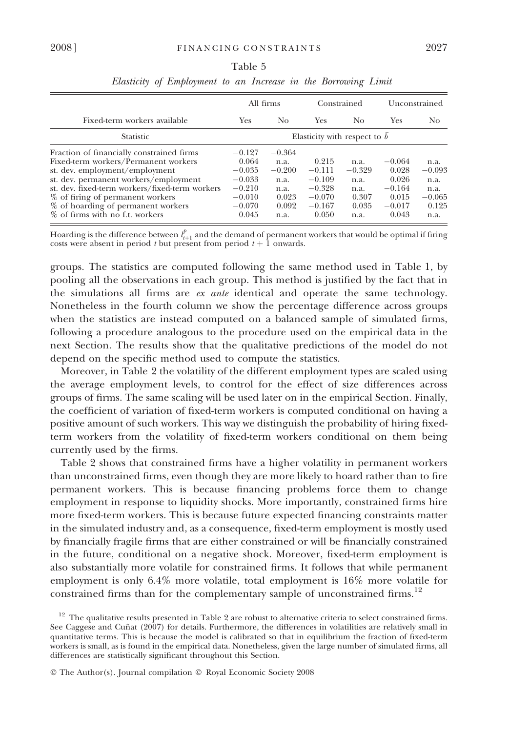|                                                                                                                                                                                                                                                                                                                             | All firms                                                                              |                                                                        | Constrained                                                                |                                                            | Unconstrained                                                        |                                                               |
|-----------------------------------------------------------------------------------------------------------------------------------------------------------------------------------------------------------------------------------------------------------------------------------------------------------------------------|----------------------------------------------------------------------------------------|------------------------------------------------------------------------|----------------------------------------------------------------------------|------------------------------------------------------------|----------------------------------------------------------------------|---------------------------------------------------------------|
| Fixed-term workers available                                                                                                                                                                                                                                                                                                | <b>Yes</b>                                                                             | No                                                                     | <b>Yes</b>                                                                 | No                                                         | <b>Yes</b>                                                           | No                                                            |
| Statistic                                                                                                                                                                                                                                                                                                                   | Elasticity with respect to $b$                                                         |                                                                        |                                                                            |                                                            |                                                                      |                                                               |
| Fraction of financially constrained firms<br>Fixed-term workers/Permanent workers<br>st. dev. employment/employment<br>st. dev. permanent workers/employment<br>st. dev. fixed-term workers/fixed-term workers<br>% of firing of permanent workers<br>% of hoarding of permanent workers<br>% of firms with no f.t. workers | $-0.127$<br>0.064<br>$-0.035$<br>$-0.033$<br>$-0.210$<br>$-0.010$<br>$-0.070$<br>0.045 | $-0.364$<br>n.a.<br>$-0.200$<br>n.a.<br>n.a.<br>0.023<br>0.092<br>n.a. | 0.215<br>$-0.111$<br>$-0.109$<br>$-0.328$<br>$-0.070$<br>$-0.167$<br>0.050 | n.a.<br>$-0.329$<br>n.a.<br>n.a.<br>0.307<br>0.035<br>n.a. | $-0.064$<br>0.028<br>0.026<br>$-0.164$<br>0.015<br>$-0.017$<br>0.043 | n.a.<br>$-0.093$<br>n.a.<br>n.a.<br>$-0.065$<br>0.125<br>n.a. |

Table 5 Elasticity of Employment to an Increase in the Borrowing Limit

Hoarding is the difference between  $l_{t+1}^{\rho}$  and the demand of permanent workers that would be optimal if firing costs were absent in period t but present from period  $t + 1$  onwards.

groups. The statistics are computed following the same method used in Table 1, by pooling all the observations in each group. This method is justified by the fact that in the simulations all firms are  $ex$  ante identical and operate the same technology. Nonetheless in the fourth column we show the percentage difference across groups when the statistics are instead computed on a balanced sample of simulated firms, following a procedure analogous to the procedure used on the empirical data in the next Section. The results show that the qualitative predictions of the model do not depend on the specific method used to compute the statistics.

Moreover, in Table 2 the volatility of the different employment types are scaled using the average employment levels, to control for the effect of size differences across groups of firms. The same scaling will be used later on in the empirical Section. Finally, the coefficient of variation of fixed-term workers is computed conditional on having a positive amount of such workers. This way we distinguish the probability of hiring fixedterm workers from the volatility of fixed-term workers conditional on them being currently used by the firms.

Table 2 shows that constrained firms have a higher volatility in permanent workers than unconstrained firms, even though they are more likely to hoard rather than to fire permanent workers. This is because financing problems force them to change employment in response to liquidity shocks. More importantly, constrained firms hire more fixed-term workers. This is because future expected financing constraints matter in the simulated industry and, as a consequence, fixed-term employment is mostly used by financially fragile firms that are either constrained or will be financially constrained in the future, conditional on a negative shock. Moreover, fixed-term employment is also substantially more volatile for constrained firms. It follows that while permanent employment is only 6.4% more volatile, total employment is 16% more volatile for constrained firms than for the complementary sample of unconstrained firms.<sup>12</sup>

 $12$  The qualitative results presented in Table 2 are robust to alternative criteria to select constrained firms. See Caggese and Cuñat (2007) for details. Furthermore, the differences in volatilities are relatively small in quantitative terms. This is because the model is calibrated so that in equilibrium the fraction of fixed-term workers is small, as is found in the empirical data. Nonetheless, given the large number of simulated firms, all differences are statistically significant throughout this Section.

<sup>©</sup> The Author(s). Journal compilation © Royal Economic Society 2008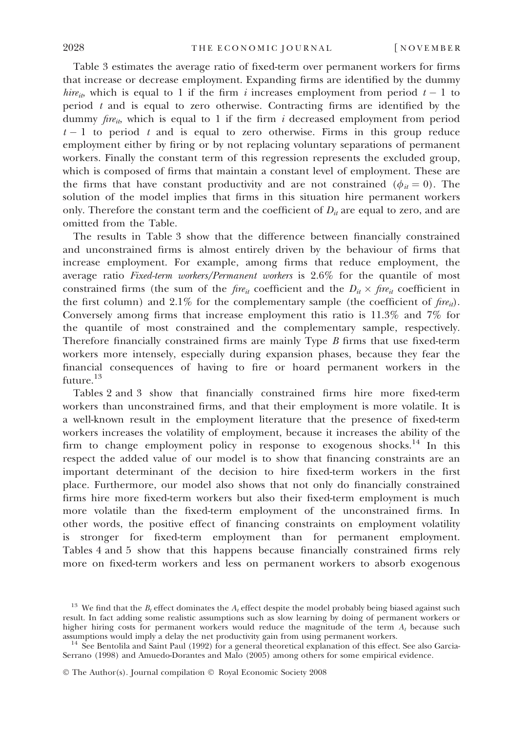Table 3 estimates the average ratio of fixed-term over permanent workers for firms that increase or decrease employment. Expanding firms are identified by the dummy hire<sub>it</sub>, which is equal to 1 if the firm i increases employment from period  $t - 1$  to period  $t$  and is equal to zero otherwise. Contracting firms are identified by the dummy  $\int r e_{it}$ , which is equal to 1 if the firm i decreased employment from period  $t - 1$  to period t and is equal to zero otherwise. Firms in this group reduce employment either by firing or by not replacing voluntary separations of permanent workers. Finally the constant term of this regression represents the excluded group, which is composed of firms that maintain a constant level of employment. These are the firms that have constant productivity and are not constrained ( $\phi_{ii} = 0$ ). The solution of the model implies that firms in this situation hire permanent workers only. Therefore the constant term and the coefficient of  $D_{ii}$  are equal to zero, and are omitted from the Table.

The results in Table 3 show that the difference between financially constrained and unconstrained firms is almost entirely driven by the behaviour of firms that increase employment. For example, among firms that reduce employment, the average ratio Fixed-term workers/Permanent workers is 2.6% for the quantile of most constrained firms (the sum of the *fire<sub>it</sub>* coefficient and the  $D_{ii} \times fre_{ii}$  coefficient in the first column) and 2.1% for the complementary sample (the coefficient of  $fire_{ii}$ ). Conversely among firms that increase employment this ratio is 11.3% and 7% for the quantile of most constrained and the complementary sample, respectively. Therefore financially constrained firms are mainly Type B firms that use fixed-term workers more intensely, especially during expansion phases, because they fear the financial consequences of having to fire or hoard permanent workers in the future.<sup>13</sup>

Tables 2 and 3 show that financially constrained firms hire more fixed-term workers than unconstrained firms, and that their employment is more volatile. It is a well-known result in the employment literature that the presence of fixed-term workers increases the volatility of employment, because it increases the ability of the firm to change employment policy in response to exogenous shocks.<sup>14</sup> In this respect the added value of our model is to show that financing constraints are an important determinant of the decision to hire fixed-term workers in the first place. Furthermore, our model also shows that not only do financially constrained firms hire more fixed-term workers but also their fixed-term employment is much more volatile than the fixed-term employment of the unconstrained firms. In other words, the positive effect of financing constraints on employment volatility is stronger for fixed-term employment than for permanent employment. Tables 4 and 5 show that this happens because financially constrained firms rely more on fixed-term workers and less on permanent workers to absorb exogenous

<sup>&</sup>lt;sup>13</sup> We find that the  $B_t$  effect dominates the  $A_t$  effect despite the model probably being biased against such result. In fact adding some realistic assumptions such as slow learning by doing of permanent workers or higher hiring costs for permanent workers would reduce the magnitude of the term  $A_t$  because such assumptions would imply a delay the net productivity gain from using permanent workers.

<sup>&</sup>lt;sup>14</sup> See Bentolila and Saint Paul (1992) for a general theoretical explanation of this effect. See also Garcia-Serrano (1998) and Amuedo-Dorantes and Malo (2005) among others for some empirical evidence.

<sup>©</sup> The Author(s). Journal compilation © Royal Economic Society 2008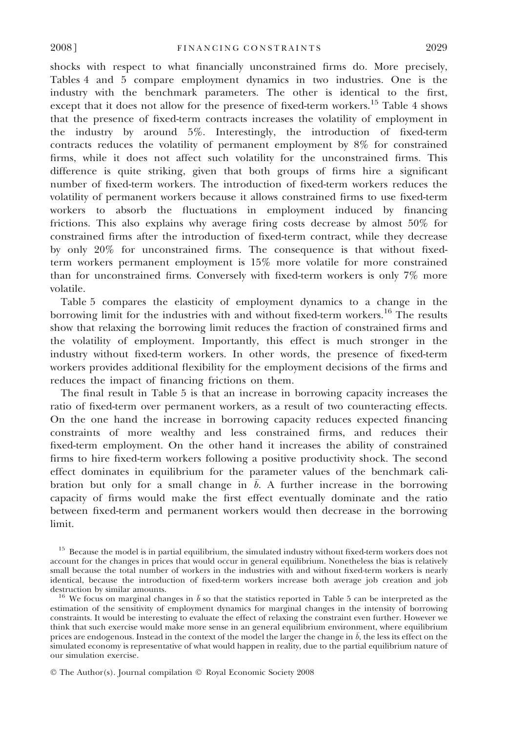shocks with respect to what financially unconstrained firms do. More precisely, Tables 4 and 5 compare employment dynamics in two industries. One is the industry with the benchmark parameters. The other is identical to the first, except that it does not allow for the presence of fixed-term workers.<sup>15</sup> Table 4 shows that the presence of fixed-term contracts increases the volatility of employment in the industry by around 5%. Interestingly, the introduction of fixed-term contracts reduces the volatility of permanent employment by 8% for constrained firms, while it does not affect such volatility for the unconstrained firms. This difference is quite striking, given that both groups of firms hire a significant number of fixed-term workers. The introduction of fixed-term workers reduces the volatility of permanent workers because it allows constrained firms to use fixed-term workers to absorb the fluctuations in employment induced by financing frictions. This also explains why average firing costs decrease by almost 50% for constrained firms after the introduction of fixed-term contract, while they decrease by only 20% for unconstrained firms. The consequence is that without fixedterm workers permanent employment is 15% more volatile for more constrained than for unconstrained firms. Conversely with fixed-term workers is only 7% more volatile.

Table 5 compares the elasticity of employment dynamics to a change in the borrowing limit for the industries with and without fixed-term workers.<sup>16</sup> The results show that relaxing the borrowing limit reduces the fraction of constrained firms and the volatility of employment. Importantly, this effect is much stronger in the industry without fixed-term workers. In other words, the presence of fixed-term workers provides additional flexibility for the employment decisions of the firms and reduces the impact of financing frictions on them.

The final result in Table 5 is that an increase in borrowing capacity increases the ratio of fixed-term over permanent workers, as a result of two counteracting effects. On the one hand the increase in borrowing capacity reduces expected financing constraints of more wealthy and less constrained firms, and reduces their fixed-term employment. On the other hand it increases the ability of constrained firms to hire fixed-term workers following a positive productivity shock. The second effect dominates in equilibrium for the parameter values of the benchmark calibration but only for a small change in  $\bar{b}$ . A further increase in the borrowing capacity of firms would make the first effect eventually dominate and the ratio between fixed-term and permanent workers would then decrease in the borrowing limit.

<sup>15</sup> Because the model is in partial equilibrium, the simulated industry without fixed-term workers does not account for the changes in prices that would occur in general equilibrium. Nonetheless the bias is relatively small because the total number of workers in the industries with and without fixed-term workers is nearly identical, because the introduction of fixed-term workers increase both average job creation and job

destruction by similar amounts.<br><sup>16</sup> We focus on marginal changes in  $\bar{b}$  so that the statistics reported in Table 5 can be interpreted as the estimation of the sensitivity of employment dynamics for marginal changes in the intensity of borrowing constraints. It would be interesting to evaluate the effect of relaxing the constraint even further. However we think that such exercise would make more sense in an general equilibrium environment, where equilibrium prices are endogenous. Instead in the context of the model the larger the change in  $\bar{b}$ , the less its effect on the simulated economy is representative of what would happen in reality, due to the partial equilibrium nature of our simulation exercise.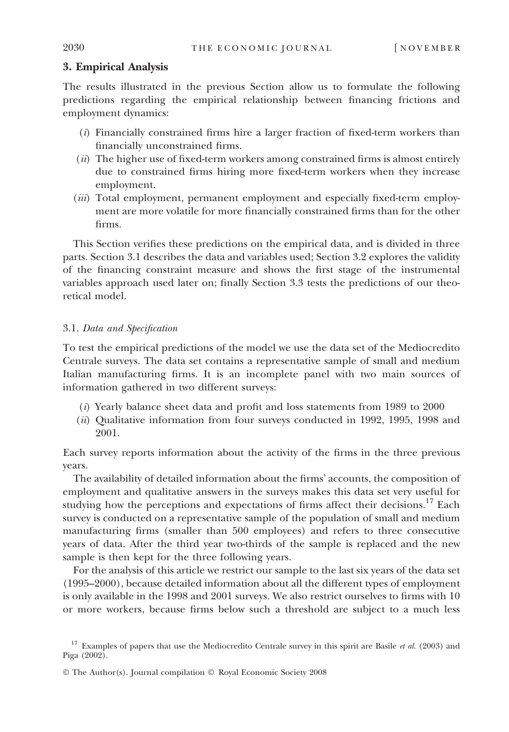## 3. Empirical Analysis

The results illustrated in the previous Section allow us to formulate the following predictions regarding the empirical relationship between financing frictions and employment dynamics:

- (i) Financially constrained firms hire a larger fraction of fixed-term workers than financially unconstrained firms.
- (*ii*) The higher use of fixed-term workers among constrained firms is almost entirely due to constrained firms hiring more fixed-term workers when they increase employment.
- (iii) Total employment, permanent employment and especially fixed-term employment are more volatile for more financially constrained firms than for the other firms.

This Section verifies these predictions on the empirical data, and is divided in three parts. Section 3.1 describes the data and variables used; Section 3.2 explores the validity of the financing constraint measure and shows the first stage of the instrumental variables approach used later on; finally Section 3.3 tests the predictions of our theoretical model.

### 3.1. Data and Specification

To test the empirical predictions of the model we use the data set of the Mediocredito Centrale surveys. The data set contains a representative sample of small and medium Italian manufacturing firms. It is an incomplete panel with two main sources of information gathered in two different surveys:

- (i) Yearly balance sheet data and profit and loss statements from 1989 to 2000
- (ii) Qualitative information from four surveys conducted in 1992, 1995, 1998 and 2001.

Each survey reports information about the activity of the firms in the three previous years.

The availability of detailed information about the firms accounts, the composition of employment and qualitative answers in the surveys makes this data set very useful for studying how the perceptions and expectations of firms affect their decisions.<sup>17</sup> Each survey is conducted on a representative sample of the population of small and medium manufacturing firms (smaller than 500 employees) and refers to three consecutive years of data. After the third year two-thirds of the sample is replaced and the new sample is then kept for the three following years.

For the analysis of this article we restrict our sample to the last six years of the data set (1995–2000), because detailed information about all the different types of employment is only available in the 1998 and 2001 surveys. We also restrict ourselves to firms with 10 or more workers, because firms below such a threshold are subject to a much less

<sup>&</sup>lt;sup>17</sup> Examples of papers that use the Mediocredito Centrale survey in this spirit are Basile *et al.* (2003) and Piga (2002).

<sup>©</sup> The Author(s). Journal compilation © Royal Economic Society 2008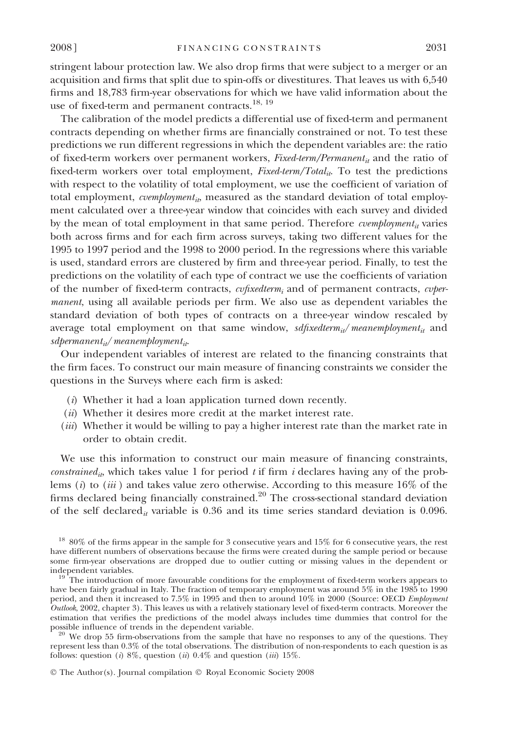stringent labour protection law. We also drop firms that were subject to a merger or an acquisition and firms that split due to spin-offs or divestitures. That leaves us with 6,540 firms and 18,783 firm-year observations for which we have valid information about the use of fixed-term and permanent contracts.<sup>18, 19</sup>

The calibration of the model predicts a differential use of fixed-term and permanent contracts depending on whether firms are financially constrained or not. To test these predictions we run different regressions in which the dependent variables are: the ratio of fixed-term workers over permanent workers, Fixed-term/Permanent<sub>it</sub> and the ratio of fixed-term workers over total employment,  $Fixed-term/Total_{it}$ . To test the predictions with respect to the volatility of total employment, we use the coefficient of variation of total employment,  $\textit{cvenplogment}_{it}$ , measured as the standard deviation of total employment calculated over a three-year window that coincides with each survey and divided by the mean of total employment in that same period. Therefore  $\mathit{c vembloyment}_{it}$  varies both across firms and for each firm across surveys, taking two different values for the 1995 to 1997 period and the 1998 to 2000 period. In the regressions where this variable is used, standard errors are clustered by firm and three-year period. Finally, to test the predictions on the volatility of each type of contract we use the coefficients of variation of the number of fixed-term contracts,  $\textit{cufixedterm}_i$  and of permanent contracts,  $\textit{cuper-}$ manent, using all available periods per firm. We also use as dependent variables the standard deviation of both types of contracts on a three-year window rescaled by average total employment on that same window,  $sdfixedterm_{il}/meanemboyment_{il}$  and  $s$ dpermanent<sub>it</sub>/meanemployment<sub>it</sub>.

Our independent variables of interest are related to the financing constraints that the firm faces. To construct our main measure of financing constraints we consider the questions in the Surveys where each firm is asked:

- (i) Whether it had a loan application turned down recently.
- (*ii*) Whether it desires more credit at the market interest rate.
- (*iii*) Whether it would be willing to pay a higher interest rate than the market rate in order to obtain credit.

We use this information to construct our main measure of financing constraints, constrained<sub>it</sub>, which takes value 1 for period t if firm i declares having any of the problems (i) to (iii) and takes value zero otherwise. According to this measure  $16\%$  of the firms declared being financially constrained.<sup>20</sup> The cross-sectional standard deviation of the self declared<sub>it</sub> variable is 0.36 and its time series standard deviation is 0.096.

 $20$  We drop 55 firm-observations from the sample that have no responses to any of the questions. They represent less than 0.3% of the total observations. The distribution of non-respondents to each question is as follows: question (*i*) 8%, question (*ii*) 0.4% and question (*iii*) 15%.

<sup>&</sup>lt;sup>18</sup> 80% of the firms appear in the sample for 3 consecutive years and 15% for 6 consecutive years, the rest have different numbers of observations because the firms were created during the sample period or because some firm-year observations are dropped due to outlier cutting or missing values in the dependent or

<sup>&</sup>lt;sup>19</sup> The introduction of more favourable conditions for the employment of fixed-term workers appears to have been fairly gradual in Italy. The fraction of temporary employment was around 5% in the 1985 to 1990 period, and then it increased to 7.5% in 1995 and then to around 10% in 2000 (Source: OECD Employment Outlook, 2002, chapter 3). This leaves us with a relatively stationary level of fixed-term contracts. Moreover the estimation that verifies the predictions of the model always includes time dummies that control for the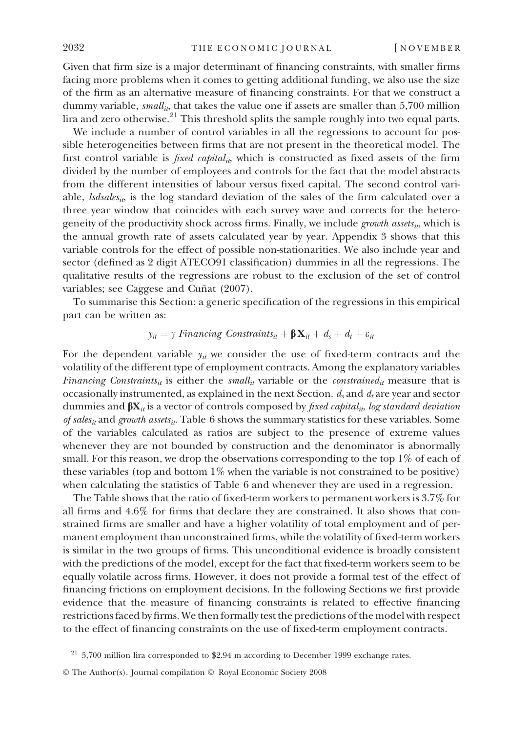Given that firm size is a major determinant of financing constraints, with smaller firms facing more problems when it comes to getting additional funding, we also use the size of the firm as an alternative measure of financing constraints. For that we construct a dummy variable,  $small_{ib}$ , that takes the value one if assets are smaller than 5,700 million lira and zero otherwise.<sup>21</sup> This threshold splits the sample roughly into two equal parts.

We include a number of control variables in all the regressions to account for possible heterogeneities between firms that are not present in the theoretical model. The first control variable is *fixed capital<sub>it</sub>*, which is constructed as fixed assets of the firm divided by the number of employees and controls for the fact that the model abstracts from the different intensities of labour versus fixed capital. The second control variable, *lsdsales<sub>it</sub>*, is the log standard deviation of the sales of the firm calculated over a three year window that coincides with each survey wave and corrects for the heterogeneity of the productivity shock across firms. Finally, we include growth assets<sub>it</sub>, which is the annual growth rate of assets calculated year by year. Appendix 3 shows that this variable controls for the effect of possible non-stationarities. We also include year and sector (defined as 2 digit ATECO91 classification) dummies in all the regressions. The qualitative results of the regressions are robust to the exclusion of the set of control variables; see Caggese and Cuñat (2007).

To summarise this Section: a generic specification of the regressions in this empirical part can be written as:

### $y_{it} = \gamma$  Financing Constraints<sub>it</sub> +  $\beta X_{it} + d_s + d_t + \varepsilon_{it}$

For the dependent variable  $y_{it}$  we consider the use of fixed-term contracts and the volatility of the different type of employment contracts. Among the explanatory variables Financing Constraints<sub>it</sub> is either the small<sub>it</sub> variable or the constrained<sub>it</sub> measure that is occasionally instrumented, as explained in the next Section.  $d_x$  and  $d_t$  are year and sector dummies and  $\beta X_{ii}$  is a vector of controls composed by fixed capital<sub>it</sub>, log standard deviation of sales<sub>it</sub> and growth assets<sub>it</sub>. Table 6 shows the summary statistics for these variables. Some of the variables calculated as ratios are subject to the presence of extreme values whenever they are not bounded by construction and the denominator is abnormally small. For this reason, we drop the observations corresponding to the top  $1\%$  of each of these variables (top and bottom 1% when the variable is not constrained to be positive) when calculating the statistics of Table 6 and whenever they are used in a regression.

The Table shows that the ratio of fixed-term workers to permanent workers is 3.7% for all firms and 4.6% for firms that declare they are constrained. It also shows that constrained firms are smaller and have a higher volatility of total employment and of permanent employment than unconstrained firms, while the volatility of fixed-term workers is similar in the two groups of firms. This unconditional evidence is broadly consistent with the predictions of the model, except for the fact that fixed-term workers seem to be equally volatile across firms. However, it does not provide a formal test of the effect of financing frictions on employment decisions. In the following Sections we first provide evidence that the measure of financing constraints is related to effective financing restrictions faced by firms. We then formally test the predictions of the model with respect to the effect of financing constraints on the use of fixed-term employment contracts.

 $21$  5,700 million lira corresponded to \$2.94 m according to December 1999 exchange rates.

<sup>©</sup> The Author(s). Journal compilation © Royal Economic Society 2008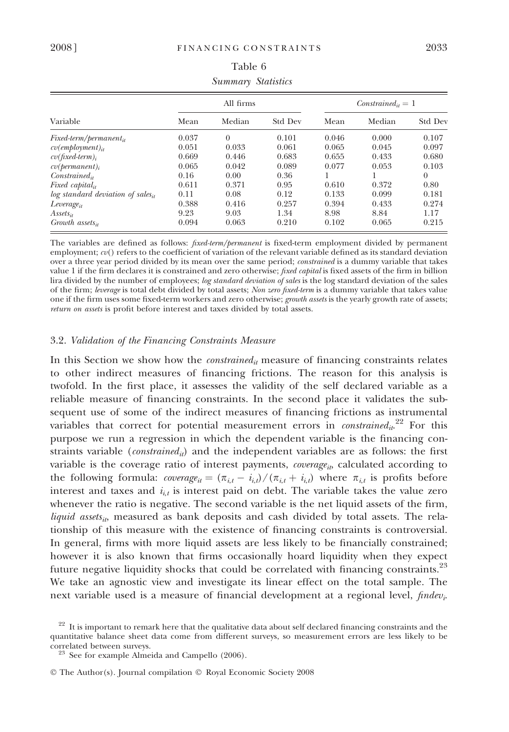|                                               |       | All firms |                | $Constrained_{ii} = 1$ |        |                |
|-----------------------------------------------|-------|-----------|----------------|------------------------|--------|----------------|
| Variable                                      | Mean  | Median    | <b>Std Dev</b> | Mean                   | Median | <b>Std Dev</b> |
| $Fixed-term/permannent_{it}$                  | 0.037 | $\Omega$  | 0.101          | 0.046                  | 0.000  | 0.107          |
| $cv(embloyment)_{it}$                         | 0.051 | 0.033     | 0.061          | 0.065                  | 0.045  | 0.097          |
| $cv(\text{fixed-term})$                       | 0.669 | 0.446     | 0.683          | 0.655                  | 0.433  | 0.680          |
| cv(bermanent)                                 | 0.065 | 0.042     | 0.089          | 0.077                  | 0.053  | 0.103          |
| $Constrained_{it}$                            | 0.16  | 0.00      | 0.36           |                        |        | $\Omega$       |
| Fixed capital,                                | 0.611 | 0.371     | 0.95           | 0.610                  | 0.372  | 0.80           |
| log standard deviation of sales <sub>it</sub> | 0.11  | 0.08      | 0.12           | 0.133                  | 0.099  | 0.181          |
| $Leverage_{it}$                               | 0.388 | 0.416     | 0.257          | 0.394                  | 0.433  | 0.274          |
| $Assets_{it}$                                 | 9.23  | 9.03      | 1.34           | 8.98                   | 8.84   | 1.17           |
| Growth $assets_{it}$                          | 0.094 | 0.063     | 0.210          | 0.102                  | 0.065  | 0.215          |

| Table 6                   |  |
|---------------------------|--|
| <b>Summary Statistics</b> |  |

The variables are defined as follows: fixed-term/permanent is fixed-term employment divided by permanent employment;  $cv()$  refers to the coefficient of variation of the relevant variable defined as its standard deviation over a three year period divided by its mean over the same period; constrained is a dummy variable that takes value 1 if the firm declares it is constrained and zero otherwise; fixed capital is fixed assets of the firm in billion lira divided by the number of employees; log standard deviation of sales is the log standard deviation of the sales of the firm; leverage is total debt divided by total assets; Non zero fixed-term is a dummy variable that takes value one if the firm uses some fixed-term workers and zero otherwise; growth assets is the yearly growth rate of assets; return on assets is profit before interest and taxes divided by total assets.

#### 3.2. Validation of the Financing Constraints Measure

In this Section we show how the *constrained*<sub>it</sub> measure of financing constraints relates to other indirect measures of financing frictions. The reason for this analysis is twofold. In the first place, it assesses the validity of the self declared variable as a reliable measure of financing constraints. In the second place it validates the subsequent use of some of the indirect measures of financing frictions as instrumental variables that correct for potential measurement errors in *constrained*<sub>it</sub>.<sup>22</sup> For this purpose we run a regression in which the dependent variable is the financing constraints variable (*constrained<sub>it</sub>*) and the independent variables are as follows: the first variable is the coverage ratio of interest payments, *coverage<sub>it</sub>*, calculated according to the following formula:  $coverage_{it} = (\pi_{i,t} - i_{i,t})/(\pi_{i,t} + i_{i,t})$  where  $\pi_{i,t}$  is profits before interest and taxes and  $i_{i,t}$  is interest paid on debt. The variable takes the value zero whenever the ratio is negative. The second variable is the net liquid assets of the firm,  $liquid$  assets<sub>it</sub>, measured as bank deposits and cash divided by total assets. The relationship of this measure with the existence of financing constraints is controversial. In general, firms with more liquid assets are less likely to be financially constrained; however it is also known that firms occasionally hoard liquidity when they expect future negative liquidity shocks that could be correlated with financing constraints.<sup>23</sup> We take an agnostic view and investigate its linear effect on the total sample. The next variable used is a measure of financial development at a regional level,  $fndev_i$ .

 $22$  It is important to remark here that the qualitative data about self declared financing constraints and the quantitative balance sheet data come from different surveys, so measurement errors are less likely to be

 $23$  See for example Almeida and Campello (2006).

<sup>©</sup> The Author(s). Journal compilation © Royal Economic Society 2008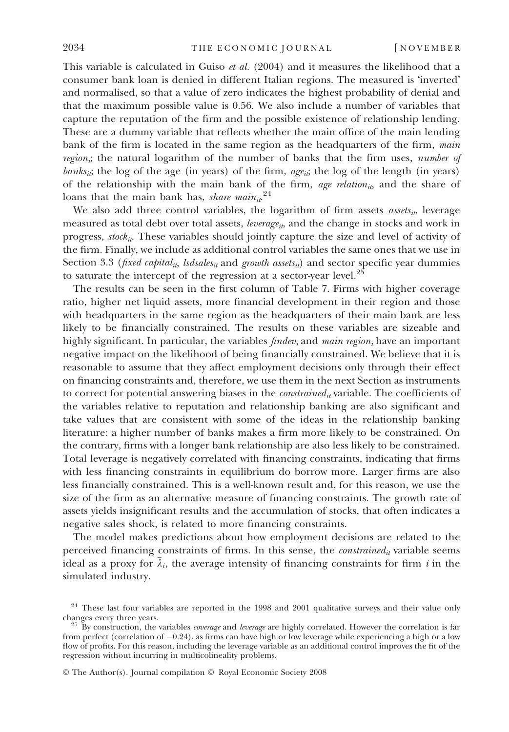This variable is calculated in Guiso et al. (2004) and it measures the likelihood that a consumer bank loan is denied in different Italian regions. The measured is 'inverted' and normalised, so that a value of zero indicates the highest probability of denial and that the maximum possible value is 0.56. We also include a number of variables that capture the reputation of the firm and the possible existence of relationship lending. These are a dummy variable that reflects whether the main office of the main lending bank of the firm is located in the same region as the headquarters of the firm, main  $region<sub>i</sub>$ ; the natural logarithm of the number of banks that the firm uses, number of banks<sub>it</sub>; the log of the age (in years) of the firm,  $age_{ib}$ ; the log of the length (in years) of the relationship with the main bank of the firm, age relation<sub>it</sub>, and the share of loans that the main bank has, share main<sub>it</sub>.<sup>24</sup>

We also add three control variables, the logarithm of firm assets  $assets_{it}$ , leverage measured as total debt over total assets, leverageit, and the change in stocks and work in progress,  $stock_{it}$ . These variables should jointly capture the size and level of activity of the firm. Finally, we include as additional control variables the same ones that we use in Section 3.3 (fixed capital<sub>it</sub>, lsdsales<sub>it</sub> and growth assets<sub>it</sub>) and sector specific year dummies to saturate the intercept of the regression at a sector-year level.<sup>25</sup>

The results can be seen in the first column of Table 7. Firms with higher coverage ratio, higher net liquid assets, more financial development in their region and those with headquarters in the same region as the headquarters of their main bank are less likely to be financially constrained. The results on these variables are sizeable and highly significant. In particular, the variables *findev<sub>i</sub>* and *main region<sub>i</sub>* have an important negative impact on the likelihood of being financially constrained. We believe that it is reasonable to assume that they affect employment decisions only through their effect on financing constraints and, therefore, we use them in the next Section as instruments to correct for potential answering biases in the *constrained*<sub>it</sub> variable. The coefficients of the variables relative to reputation and relationship banking are also significant and take values that are consistent with some of the ideas in the relationship banking literature: a higher number of banks makes a firm more likely to be constrained. On the contrary, firms with a longer bank relationship are also less likely to be constrained. Total leverage is negatively correlated with financing constraints, indicating that firms with less financing constraints in equilibrium do borrow more. Larger firms are also less financially constrained. This is a well-known result and, for this reason, we use the size of the firm as an alternative measure of financing constraints. The growth rate of assets yields insignificant results and the accumulation of stocks, that often indicates a negative sales shock, is related to more financing constraints.

The model makes predictions about how employment decisions are related to the perceived financing constraints of firms. In this sense, the  $\emph{constrained}_{it}$  variable seems ideal as a proxy for  $\bar{\lambda}_i$ , the average intensity of financing constraints for firm i in the simulated industry.

 $24$  These last four variables are reported in the 1998 and 2001 qualitative surveys and their value only changes every three years.

<sup>&</sup>lt;sup>25</sup> By construction, the variables *coverage* and *leverage* are highly correlated. However the correlation is far from perfect (correlation of  $-0.24$ ), as firms can have high or low leverage while experiencing a high or a low flow of profits. For this reason, including the leverage variable as an additional control improves the fit of the regression without incurring in multicolineality problems.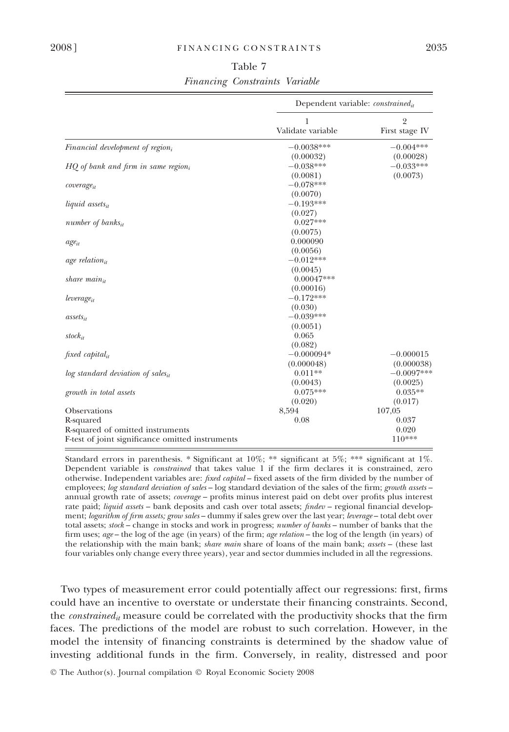|                                                  | Dependent variable: <i>constrained</i> <sub>it</sub> |                                  |  |
|--------------------------------------------------|------------------------------------------------------|----------------------------------|--|
|                                                  | ı<br>Validate variable                               | $\overline{2}$<br>First stage IV |  |
| Financial development of region,                 | $-0.0038***$                                         | $-0.004***$                      |  |
|                                                  | (0.00032)                                            | (0.00028)                        |  |
| $HQ$ of bank and firm in same region,            | $-0.038***$                                          | $-0.033***$                      |  |
|                                                  | (0.0081)                                             | (0.0073)                         |  |
| $coverage_{it}$                                  | $-0.078***$                                          |                                  |  |
|                                                  | (0.0070)                                             |                                  |  |
| liquid assets $_{it}$                            | $-0.193***$                                          |                                  |  |
|                                                  | (0.027)                                              |                                  |  |
| number of banks $_{it}$                          | $0.027***$                                           |                                  |  |
|                                                  | (0.0075)                                             |                                  |  |
| $age_{it}$                                       | 0.000090                                             |                                  |  |
|                                                  | (0.0056)                                             |                                  |  |
| age relation,                                    | $-0.012***$                                          |                                  |  |
|                                                  | (0.0045)                                             |                                  |  |
| share $main_{it}$                                | $0.00047***$                                         |                                  |  |
|                                                  | (0.00016)                                            |                                  |  |
| $leverage_{it}$                                  | $-0.172***$                                          |                                  |  |
|                                                  | (0.030)                                              |                                  |  |
| $assets_{it}$                                    | $-0.039***$                                          |                                  |  |
|                                                  | (0.0051)                                             |                                  |  |
| $stock_{it}$                                     | 0.065                                                |                                  |  |
|                                                  | (0.082)                                              |                                  |  |
| fixed capital $_{it}$                            | $-0.000094*$                                         | $-0.000015$                      |  |
|                                                  | (0.000048)                                           | (0.000038)                       |  |
| log standard deviation of sales <sub>it</sub>    | $0.011**$                                            | $-0.0097***$                     |  |
|                                                  | (0.0043)                                             | (0.0025)                         |  |
| growth in total assets                           | $0.075***$                                           | $0.035**$                        |  |
|                                                  | (0.020)                                              | (0.017)                          |  |
| Observations                                     | 8,594                                                | 107,05                           |  |
| R-squared                                        | 0.08                                                 | 0.037                            |  |
| R-squared of omitted instruments                 |                                                      | 0.020                            |  |
| F-test of joint significance omitted instruments |                                                      | 110***                           |  |
|                                                  |                                                      |                                  |  |

## Table 7 Financing Constraints Variable

Standard errors in parenthesis. \* Significant at 10%; \*\* significant at 5%; \*\*\* significant at 1%. Dependent variable is constrained that takes value 1 if the firm declares it is constrained, zero otherwise. Independent variables are: fixed capital – fixed assets of the firm divided by the number of employees; log standard deviation of sales – log standard deviation of the sales of the firm; growth assets – annual growth rate of assets; coverage – profits minus interest paid on debt over profits plus interest rate paid; liquid assets – bank deposits and cash over total assets; findev – regional financial development; logarithm of firm assets; grow sales – dummy if sales grew over the last year; leverage – total debt over total assets; stock – change in stocks and work in progress; number of banks – number of banks that the firm uses; age – the log of the age (in years) of the firm; age relation – the log of the length (in years) of the relationship with the main bank; share main share of loans of the main bank; assets – (these last four variables only change every three years), year and sector dummies included in all the regressions.

Two types of measurement error could potentially affect our regressions: first, firms could have an incentive to overstate or understate their financing constraints. Second, the *constrained<sub>it</sub>* measure could be correlated with the productivity shocks that the firm faces. The predictions of the model are robust to such correlation. However, in the model the intensity of financing constraints is determined by the shadow value of investing additional funds in the firm. Conversely, in reality, distressed and poor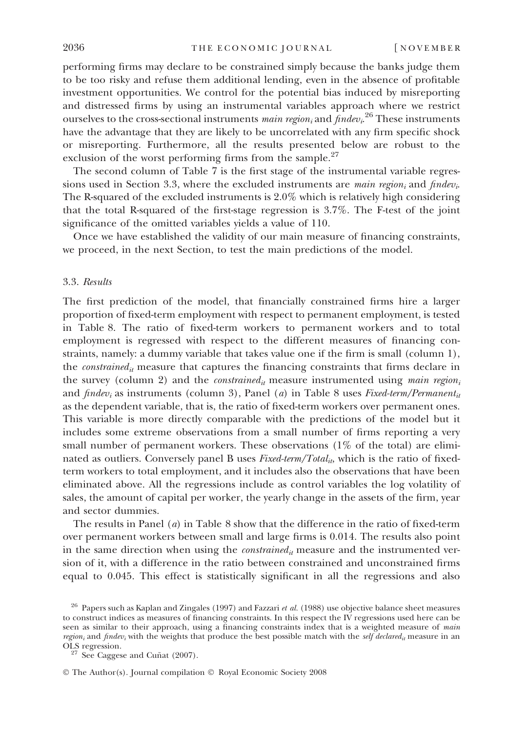performing firms may declare to be constrained simply because the banks judge them to be too risky and refuse them additional lending, even in the absence of profitable investment opportunities. We control for the potential bias induced by misreporting and distressed firms by using an instrumental variables approach where we restrict ourselves to the cross-sectional instruments *main region*<sub>i</sub> and  $\text{fndev}_i^{26}$  These instruments have the advantage that they are likely to be uncorrelated with any firm specific shock or misreporting. Furthermore, all the results presented below are robust to the exclusion of the worst performing firms from the sample.<sup>27</sup>

The second column of Table 7 is the first stage of the instrumental variable regressions used in Section 3.3, where the excluded instruments are *main region<sub>i</sub>* and  $f_{1}$ The R-squared of the excluded instruments is 2.0% which is relatively high considering that the total R-squared of the first-stage regression is 3.7%. The F-test of the joint significance of the omitted variables yields a value of 110.

Once we have established the validity of our main measure of financing constraints, we proceed, in the next Section, to test the main predictions of the model.

#### 3.3. Results

The first prediction of the model, that financially constrained firms hire a larger proportion of fixed-term employment with respect to permanent employment, is tested in Table 8. The ratio of fixed-term workers to permanent workers and to total employment is regressed with respect to the different measures of financing constraints, namely: a dummy variable that takes value one if the firm is small (column 1), the *constrained<sub>it</sub>* measure that captures the financing constraints that firms declare in the survey (column 2) and the *constrained*<sub>it</sub> measure instrumented using main region<sub>i</sub> and  $\hat{p}_i$  as instruments (column 3), Panel (a) in Table 8 uses Fixed-term/Permanent<sub>it</sub> as the dependent variable, that is, the ratio of fixed-term workers over permanent ones. This variable is more directly comparable with the predictions of the model but it includes some extreme observations from a small number of firms reporting a very small number of permanent workers. These observations (1% of the total) are eliminated as outliers. Conversely panel B uses  $Fixed-term/Total_{it}$ , which is the ratio of fixedterm workers to total employment, and it includes also the observations that have been eliminated above. All the regressions include as control variables the log volatility of sales, the amount of capital per worker, the yearly change in the assets of the firm, year and sector dummies.

The results in Panel (a) in Table 8 show that the difference in the ratio of fixed-term over permanent workers between small and large firms is 0.014. The results also point in the same direction when using the *constrained*<sub>it</sub> measure and the instrumented version of it, with a difference in the ratio between constrained and unconstrained firms equal to 0.045. This effect is statistically significant in all the regressions and also

 $26$  Papers such as Kaplan and Zingales (1997) and Fazzari *et al.* (1988) use objective balance sheet measures to construct indices as measures of financing constraints. In this respect the IV regressions used here can be seen as similar to their approach, using a financing constraints index that is a weighted measure of main region<sub>i</sub> and findev<sub>i</sub> with the weights that produce the best possible match with the self declared<sub>it</sub> measure in an OLS regression.

 $27$  See Caggese and Cunat (2007).

<sup>©</sup> The Author(s). Journal compilation © Royal Economic Society 2008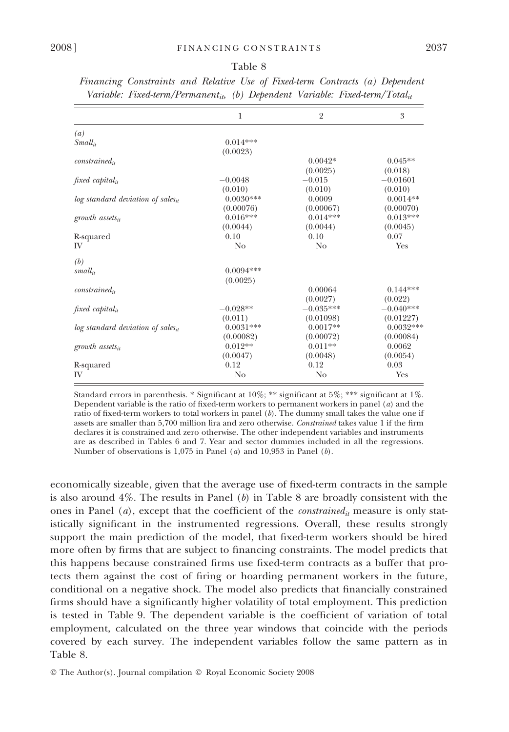|                                               | 1           | $\overline{2}$ | 3           |
|-----------------------------------------------|-------------|----------------|-------------|
| (a)                                           |             |                |             |
| $Small_{it}$                                  | $0.014***$  |                |             |
|                                               | (0.0023)    |                |             |
| $constructed_{it}$                            |             | $0.0042*$      | $0.045**$   |
|                                               |             | (0.0025)       | (0.018)     |
| fixed capital $_{it}$                         | $-0.0048$   | $-0.015$       | $-0.01601$  |
|                                               | (0.010)     | (0.010)        | (0.010)     |
| log standard deviation of sales <sub>it</sub> | $0.0030***$ | 0.0009         | $0.0014**$  |
|                                               | (0.00076)   | (0.00067)      | (0.00070)   |
| growth assets <sub>it</sub>                   | $0.016***$  | $0.014***$     | $0.013***$  |
|                                               | (0.0044)    | (0.0044)       | (0.0045)    |
| R-squared                                     | 0.10        | 0.10           | 0.07        |
| IV                                            | No          | No             | Yes         |
| (b)                                           |             |                |             |
| $small_{it}$                                  | $0.0094***$ |                |             |
|                                               | (0.0025)    |                |             |
| $constructed_{it}$                            |             | 0.00064        | $0.144***$  |
|                                               |             | (0.0027)       | (0.022)     |
| fixed capital $_{it}$                         | $-0.028**$  | $-0.035***$    | $-0.040***$ |
|                                               | (0.011)     | (0.01098)      | (0.01227)   |
| log standard deviation of sales <sub>it</sub> | $0.0031***$ | $0.0017**$     | $0.0032***$ |
|                                               | (0.00082)   | (0.00072)      | (0.00084)   |
| growth assets <sub>it</sub>                   | $0.012**$   | $0.011**$      | 0.0062      |
|                                               | (0.0047)    | (0.0048)       | (0.0054)    |
| R-squared                                     | 0.12        | 0.12           | 0.03        |
| IV                                            | No          | No             | Yes         |

Financing Constraints and Relative Use of Fixed-term Contracts (a) Dependent Variable: Fixed-term/Permanent<sub>is</sub> (b) Dependent Variable: Fixed-term/Total.

Standard errors in parenthesis. \* Significant at 10%; \*\* significant at 5%; \*\*\* significant at 1%. Dependent variable is the ratio of fixed-term workers to permanent workers in panel (a) and the ratio of fixed-term workers to total workers in panel (b). The dummy small takes the value one if assets are smaller than 5,700 million lira and zero otherwise. Constrained takes value 1 if the firm declares it is constrained and zero otherwise. The other independent variables and instruments are as described in Tables 6 and 7. Year and sector dummies included in all the regressions. Number of observations is 1,075 in Panel (a) and 10,953 in Panel (b).

economically sizeable, given that the average use of fixed-term contracts in the sample is also around  $4\%$ . The results in Panel (b) in Table 8 are broadly consistent with the ones in Panel (*a*), except that the coefficient of the *constrained*<sub>*it*</sub> measure is only statistically significant in the instrumented regressions. Overall, these results strongly support the main prediction of the model, that fixed-term workers should be hired more often by firms that are subject to financing constraints. The model predicts that this happens because constrained firms use fixed-term contracts as a buffer that protects them against the cost of firing or hoarding permanent workers in the future, conditional on a negative shock. The model also predicts that financially constrained firms should have a significantly higher volatility of total employment. This prediction is tested in Table 9. The dependent variable is the coefficient of variation of total employment, calculated on the three year windows that coincide with the periods covered by each survey. The independent variables follow the same pattern as in Table 8.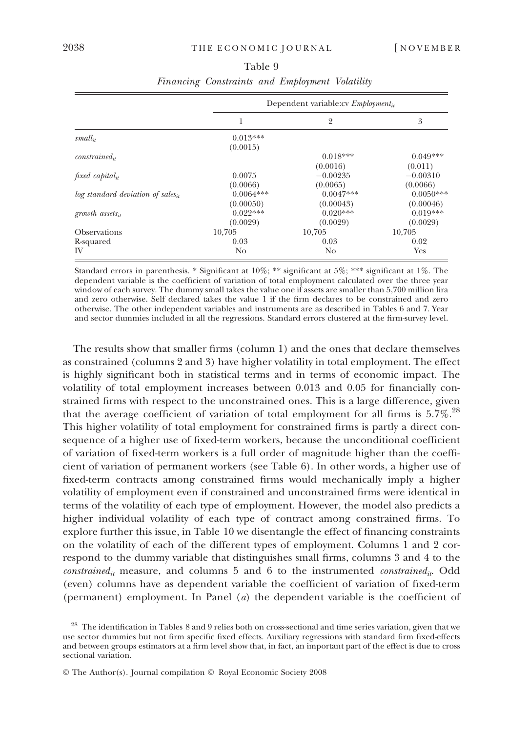|                                                 | Dependent variable: cv $Embloyment_{it}$ |                |             |  |
|-------------------------------------------------|------------------------------------------|----------------|-------------|--|
|                                                 | 1                                        | $\overline{2}$ | 3           |  |
| $small_{it}$                                    | $0.013***$                               |                |             |  |
|                                                 | (0.0015)                                 |                |             |  |
| $constrained_{it}$                              |                                          | $0.018***$     | $0.049***$  |  |
|                                                 |                                          | (0.0016)       | (0.011)     |  |
| fixed capital $_{it}$                           | 0.0075                                   | $-0.00235$     | $-0.00310$  |  |
|                                                 | (0.0066)                                 | (0.0065)       | (0.0066)    |  |
| $log$ standard deviation of sales <sub>it</sub> | $0.0064***$                              | $0.0047***$    | $0.0050***$ |  |
|                                                 | (0.00050)                                | (0.00043)      | (0.00046)   |  |
| growth $assets_{it}$                            | $0.022***$                               | $0.020***$     | $0.019***$  |  |
|                                                 | (0.0029)                                 | (0.0029)       | (0.0029)    |  |
| <b>Observations</b>                             | 10.705                                   | 10.705         | 10.705      |  |
| R-squared                                       | 0.03                                     | 0.03           | 0.02        |  |
| IV                                              | N <sub>0</sub>                           | N <sub>o</sub> | Yes         |  |

| Table 9 |  |  |                                                 |  |  |  |
|---------|--|--|-------------------------------------------------|--|--|--|
|         |  |  | Financing Constraints and Employment Volatility |  |  |  |

Standard errors in parenthesis. \* Significant at 10%; \*\* significant at 5%; \*\*\* significant at 1%. The dependent variable is the coefficient of variation of total employment calculated over the three year window of each survey. The dummy small takes the value one if assets are smaller than 5,700 million lira and zero otherwise. Self declared takes the value 1 if the firm declares to be constrained and zero otherwise. The other independent variables and instruments are as described in Tables 6 and 7. Year and sector dummies included in all the regressions. Standard errors clustered at the firm-survey level.

The results show that smaller firms (column 1) and the ones that declare themselves as constrained (columns 2 and 3) have higher volatility in total employment. The effect is highly significant both in statistical terms and in terms of economic impact. The volatility of total employment increases between 0.013 and 0.05 for financially constrained firms with respect to the unconstrained ones. This is a large difference, given that the average coefficient of variation of total employment for all firms is  $5.7\%$ <sup>28</sup> This higher volatility of total employment for constrained firms is partly a direct consequence of a higher use of fixed-term workers, because the unconditional coefficient of variation of fixed-term workers is a full order of magnitude higher than the coefficient of variation of permanent workers (see Table 6). In other words, a higher use of fixed-term contracts among constrained firms would mechanically imply a higher volatility of employment even if constrained and unconstrained firms were identical in terms of the volatility of each type of employment. However, the model also predicts a higher individual volatility of each type of contract among constrained firms. To explore further this issue, in Table 10 we disentangle the effect of financing constraints on the volatility of each of the different types of employment. Columns 1 and 2 correspond to the dummy variable that distinguishes small firms, columns 3 and 4 to the constrained<sub>it</sub> measure, and columns 5 and 6 to the instrumented constrained<sub>it</sub>. Odd (even) columns have as dependent variable the coefficient of variation of fixed-term (permanent) employment. In Panel (a) the dependent variable is the coefficient of

<sup>28</sup> The identification in Tables 8 and 9 relies both on cross-sectional and time series variation, given that we use sector dummies but not firm specific fixed effects. Auxiliary regressions with standard firm fixed-effects and between groups estimators at a firm level show that, in fact, an important part of the effect is due to cross sectional variation.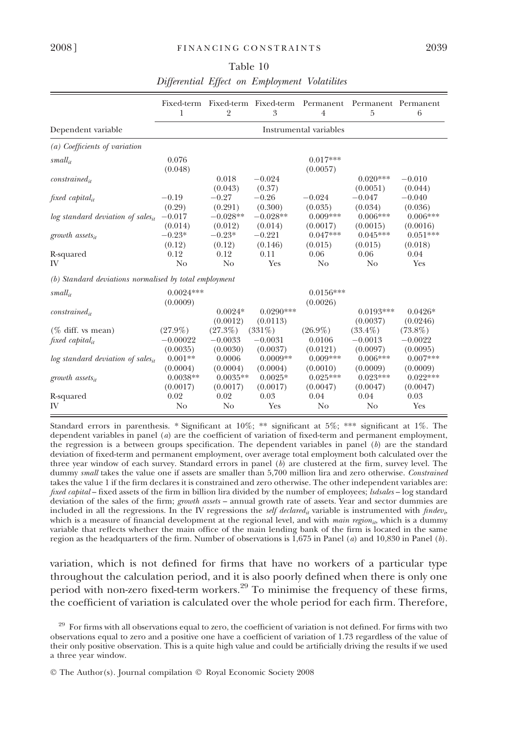|                                                        | 1                       | $\overline{2}$         | Fixed-term Fixed-term Fixed-term Permanent Permanent Permanent<br>3 | $\overline{4}$          | 5                       | 6                      |  |  |
|--------------------------------------------------------|-------------------------|------------------------|---------------------------------------------------------------------|-------------------------|-------------------------|------------------------|--|--|
| Dependent variable                                     | Instrumental variables  |                        |                                                                     |                         |                         |                        |  |  |
| (a) Coefficients of variation                          |                         |                        |                                                                     |                         |                         |                        |  |  |
| $small_{it}$                                           | 0.076<br>(0.048)        |                        |                                                                     | $0.017***$<br>(0.0057)  |                         |                        |  |  |
| $constrained_{it}$                                     |                         | 0.018<br>(0.043)       | $-0.024$<br>(0.37)                                                  |                         | $0.020***$<br>(0.0051)  | $-0.010$<br>(0.044)    |  |  |
| fixed capital,                                         | $-0.19$<br>(0.29)       | $-0.27$<br>(0.291)     | $-0.26$<br>(0.300)                                                  | $-0.024$<br>(0.035)     | $-0.047$<br>(0.034)     | $-0.040$<br>(0.036)    |  |  |
| log standard deviation of sales <sub>it</sub>          | $-0.017$<br>(0.014)     | $-0.028**$<br>(0.012)  | $-0.028**$<br>(0.014)                                               | $0.009***$<br>(0.0017)  | $0.006***$<br>(0.0015)  | $0.006***$<br>(0.0016) |  |  |
| growth $assets_{it}$                                   | $-0.23*$<br>(0.12)      | $-0.23*$<br>(0.12)     | $-0.221$<br>(0.146)                                                 | $0.047***$<br>(0.015)   | $0.045***$<br>(0.015)   | $0.051***$<br>(0.018)  |  |  |
| R-squared<br>IV                                        | 0.12<br>N <sub>o</sub>  | 0.12<br>N <sub>o</sub> | 0.11<br>Yes                                                         | 0.06<br>No              | 0.06<br>N <sub>o</sub>  | 0.04<br>Yes            |  |  |
| (b) Standard deviations normalised by total employment |                         |                        |                                                                     |                         |                         |                        |  |  |
| $small_{it}$                                           | $0.0024***$<br>(0.0009) |                        |                                                                     | $0.0156***$<br>(0.0026) |                         |                        |  |  |
| $constrained_{it}$                                     |                         | $0.0024*$<br>(0.0012)  | $0.0290***$<br>(0.0113)                                             |                         | $0.0193***$<br>(0.0037) | $0.0426*$<br>(0.0246)  |  |  |
| $(\%$ diff. vs mean)                                   | $(27.9\%)$              | $(27.3\%)$             | $(331\%)$                                                           | $(26.9\%)$              | $(33.4\%)$              | $(73.8\%)$             |  |  |
| fixed capital <sub>it</sub>                            | $-0.00022$<br>(0.0035)  | $-0.0033$<br>(0.0030)  | $-0.0031$<br>(0.0037)                                               | 0.0106<br>(0.0121)      | $-0.0013$<br>(0.0097)   | $-0.0022$<br>(0.0095)  |  |  |
| log standard deviation of sales <sub>it</sub>          | $0.001**$<br>(0.0004)   | 0.0006<br>(0.0004)     | $0.0009**$<br>(0.0004)                                              | $0.009***$<br>(0.0010)  | $0.006***$<br>(0.0009)  | $0.007***$<br>(0.0009) |  |  |
| growth $assets_{it}$                                   | $0.0038**$<br>(0.0017)  | $0.0035**$<br>(0.0017) | $0.0025*$<br>(0.0017)                                               | $0.025***$<br>(0.0047)  | $0.023***$<br>(0.0047)  | $0.022***$<br>(0.0047) |  |  |
| R-squared<br>IV                                        | 0.02<br>N <sub>o</sub>  | 0.02<br>No             | 0.03<br>Yes                                                         | 0.04<br>No              | 0.04<br>N <sub>0</sub>  | 0.03<br>Yes            |  |  |

## Table 10 Differential Effect on Employment Volatilites

Standard errors in parenthesis. \* Significant at 10%; \*\* significant at 5%; \*\*\* significant at 1%. The dependent variables in panel (a) are the coefficient of variation of fixed-term and permanent employment, the regression is a between groups specification. The dependent variables in panel (b) are the standard deviation of fixed-term and permanent employment, over average total employment both calculated over the three year window of each survey. Standard errors in panel  $(b)$  are clustered at the firm, survey level. The dummy small takes the value one if assets are smaller than 5,700 million lira and zero otherwise. Constrained takes the value 1 if the firm declares it is constrained and zero otherwise. The other independent variables are: fixed capital – fixed assets of the firm in billion lira divided by the number of employees; *Isdsales* – log standard deviation of the sales of the firm; growth assets – annual growth rate of assets. Year and sector dummies are included in all the regressions. In the IV regressions the *self declared<sub>it</sub>* variable is instrumented with *findev<sub>i</sub>*, which is a measure of financial development at the regional level, and with main region<sub>it</sub>, which is a dummy variable that reflects whether the main office of the main lending bank of the firm is located in the same region as the headquarters of the firm. Number of observations is  $1,675$  in Panel (a) and 10,830 in Panel (b).

variation, which is not defined for firms that have no workers of a particular type throughout the calculation period, and it is also poorly defined when there is only one period with non-zero fixed-term workers.<sup>29</sup> To minimise the frequency of these firms, the coefficient of variation is calculated over the whole period for each firm. Therefore,

 $29$  For firms with all observations equal to zero, the coefficient of variation is not defined. For firms with two observations equal to zero and a positive one have a coefficient of variation of 1.73 regardless of the value of their only positive observation. This is a quite high value and could be artificially driving the results if we used a three year window.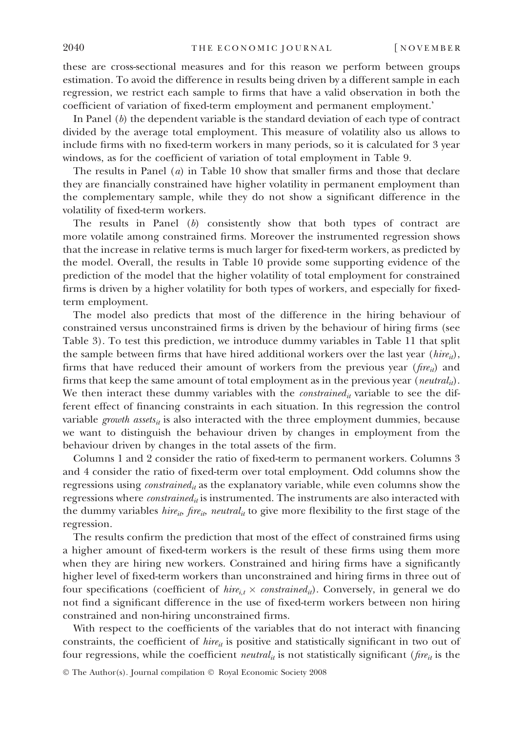these are cross-sectional measures and for this reason we perform between groups estimation. To avoid the difference in results being driven by a different sample in each regression, we restrict each sample to firms that have a valid observation in both the coefficient of variation of fixed-term employment and permanent employment.

In Panel (b) the dependent variable is the standard deviation of each type of contract divided by the average total employment. This measure of volatility also us allows to include firms with no fixed-term workers in many periods, so it is calculated for 3 year windows, as for the coefficient of variation of total employment in Table 9.

The results in Panel  $(a)$  in Table 10 show that smaller firms and those that declare they are financially constrained have higher volatility in permanent employment than the complementary sample, while they do not show a significant difference in the volatility of fixed-term workers.

The results in Panel (b) consistently show that both types of contract are more volatile among constrained firms. Moreover the instrumented regression shows that the increase in relative terms is much larger for fixed-term workers, as predicted by the model. Overall, the results in Table 10 provide some supporting evidence of the prediction of the model that the higher volatility of total employment for constrained firms is driven by a higher volatility for both types of workers, and especially for fixedterm employment.

The model also predicts that most of the difference in the hiring behaviour of constrained versus unconstrained firms is driven by the behaviour of hiring firms (see Table 3). To test this prediction, we introduce dummy variables in Table 11 that split the sample between firms that have hired additional workers over the last year  $(hire_{it})$ , firms that have reduced their amount of workers from the previous year ( $fire_{it}$ ) and firms that keep the same amount of total employment as in the previous year (*neutral<sub>il</sub>*). We then interact these dummy variables with the *constrained*<sub>it</sub> variable to see the different effect of financing constraints in each situation. In this regression the control variable growth  $assets_{it}$  is also interacted with the three employment dummies, because we want to distinguish the behaviour driven by changes in employment from the behaviour driven by changes in the total assets of the firm.

Columns 1 and 2 consider the ratio of fixed-term to permanent workers. Columns 3 and 4 consider the ratio of fixed-term over total employment. Odd columns show the regressions using  $\emph{constrained}_{it}$  as the explanatory variable, while even columns show the regressions where *constrained<sub>it</sub>* is instrumented. The instruments are also interacted with the dummy variables  $\text{hire}_{it}$ , fire<sub>it</sub>, neutral<sub>it</sub> to give more flexibility to the first stage of the regression.

The results confirm the prediction that most of the effect of constrained firms using a higher amount of fixed-term workers is the result of these firms using them more when they are hiring new workers. Constrained and hiring firms have a significantly higher level of fixed-term workers than unconstrained and hiring firms in three out of four specifications (coefficient of  $\text{hire}_{i,t} \times \text{constrained}_{i}$ ). Conversely, in general we do not find a significant difference in the use of fixed-term workers between non hiring constrained and non-hiring unconstrained firms.

With respect to the coefficients of the variables that do not interact with financing constraints, the coefficient of  $hire_{it}$  is positive and statistically significant in two out of four regressions, while the coefficient *neutral<sub>it</sub>* is not statistically significant (*fire<sub>it</sub>* is the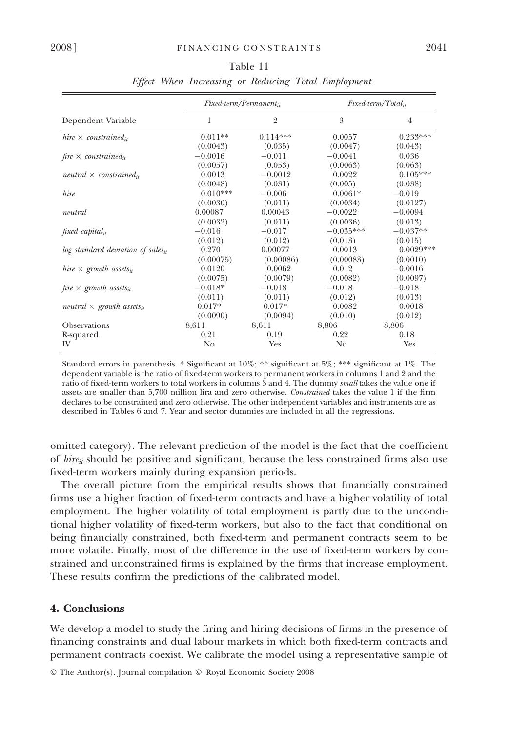|                                               |                | $Fixed-term/Permannent_{it}$ | $Fixed-term / Total_{ii}$ |                |  |
|-----------------------------------------------|----------------|------------------------------|---------------------------|----------------|--|
| Dependent Variable                            | 1              | $\overline{2}$               | 3                         | $\overline{4}$ |  |
| hire $\times$ constrained,                    | $0.011**$      | $0.114***$                   | 0.0057                    | $0.233***$     |  |
|                                               | (0.0043)       | (0.035)                      | (0.0047)                  | (0.043)        |  |
| fire $\times$ constrained <sub>it</sub>       | $-0.0016$      | $-0.011$                     | $-0.0041$                 | 0.036          |  |
|                                               | (0.0057)       | (0.053)                      | (0.0063)                  | (0.063)        |  |
| neutral $\times$ constrained <sub>it</sub>    | 0.0013         | $-0.0012$                    | 0.0022                    | $0.105***$     |  |
|                                               | (0.0048)       | (0.031)                      | (0.005)                   | (0.038)        |  |
| hire                                          | $0.010***$     | $-0.006$                     | $0.0061*$                 | $-0.019$       |  |
|                                               | (0.0030)       | (0.011)                      | (0.0034)                  | (0.0127)       |  |
| neutral                                       | 0.00087        | 0.00043                      | $-0.0022$                 | $-0.0094$      |  |
|                                               | (0.0032)       | (0.011)                      | (0.0036)                  | (0.013)        |  |
| fixed capital <sub>it</sub>                   | $-0.016$       | $-0.017$                     | $-0.035***$               | $-0.037**$     |  |
|                                               | (0.012)        | (0.012)                      | (0.013)                   | (0.015)        |  |
| log standard deviation of sales <sub>it</sub> | 0.270          | 0.00077                      | 0.0013                    | $0.0029***$    |  |
|                                               | (0.00075)      | (0.00086)                    | (0.00083)                 | (0.0010)       |  |
| hire $\times$ growth assets <sub>it</sub>     | 0.0120         | 0.0062                       | 0.012                     | $-0.0016$      |  |
|                                               | (0.0075)       | (0.0079)                     | (0.0082)                  | (0.0097)       |  |
| fire $\times$ growth assets <sub>it</sub>     | $-0.018*$      | $-0.018$                     | $-0.018$                  | $-0.018$       |  |
|                                               | (0.011)        | (0.011)                      | (0.012)                   | (0.013)        |  |
| neutral $\times$ growth assets <sub>it</sub>  | $0.017*$       | $0.017*$                     | 0.0082                    | 0.0018         |  |
|                                               | (0.0090)       | (0.0094)                     | (0.010)                   | (0.012)        |  |
| <b>Observations</b>                           | 8,611          | 8,611                        | 8,806                     | 8,806          |  |
| R-squared                                     | 0.21           | 0.19                         | 0.22                      | 0.18           |  |
| IV                                            | N <sub>o</sub> | Yes                          | N <sub>o</sub>            | Yes            |  |

Table 11 Effect When Increasing or Reducing Total Employment

Standard errors in parenthesis. \* Significant at 10%; \*\* significant at 5%; \*\*\* significant at 1%. The dependent variable is the ratio of fixed-term workers to permanent workers in columns 1 and 2 and the ratio of fixed-term workers to total workers in columns 3 and 4. The dummy small takes the value one if assets are smaller than 5,700 million lira and zero otherwise. Constrained takes the value 1 if the firm declares to be constrained and zero otherwise. The other independent variables and instruments are as described in Tables 6 and 7. Year and sector dummies are included in all the regressions.

omitted category). The relevant prediction of the model is the fact that the coefficient of  $hire_{it}$  should be positive and significant, because the less constrained firms also use fixed-term workers mainly during expansion periods.

The overall picture from the empirical results shows that financially constrained firms use a higher fraction of fixed-term contracts and have a higher volatility of total employment. The higher volatility of total employment is partly due to the unconditional higher volatility of fixed-term workers, but also to the fact that conditional on being financially constrained, both fixed-term and permanent contracts seem to be more volatile. Finally, most of the difference in the use of fixed-term workers by constrained and unconstrained firms is explained by the firms that increase employment. These results confirm the predictions of the calibrated model.

## 4. Conclusions

We develop a model to study the firing and hiring decisions of firms in the presence of financing constraints and dual labour markets in which both fixed-term contracts and permanent contracts coexist. We calibrate the model using a representative sample of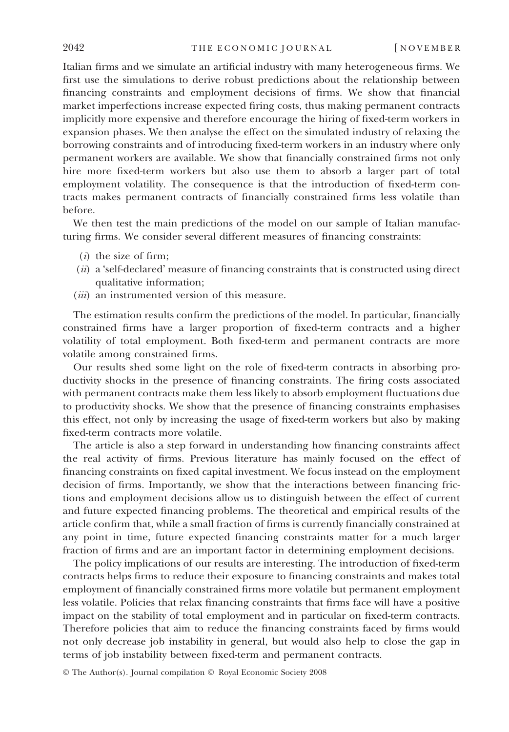Italian firms and we simulate an artificial industry with many heterogeneous firms. We first use the simulations to derive robust predictions about the relationship between financing constraints and employment decisions of firms. We show that financial market imperfections increase expected firing costs, thus making permanent contracts implicitly more expensive and therefore encourage the hiring of fixed-term workers in expansion phases. We then analyse the effect on the simulated industry of relaxing the borrowing constraints and of introducing fixed-term workers in an industry where only permanent workers are available. We show that financially constrained firms not only hire more fixed-term workers but also use them to absorb a larger part of total employment volatility. The consequence is that the introduction of fixed-term contracts makes permanent contracts of financially constrained firms less volatile than before.

We then test the main predictions of the model on our sample of Italian manufacturing firms. We consider several different measures of financing constraints:

- $(i)$  the size of firm;
- $(ii)$  a 'self-declared' measure of financing constraints that is constructed using direct qualitative information;
- (*iii*) an instrumented version of this measure.

The estimation results confirm the predictions of the model. In particular, financially constrained firms have a larger proportion of fixed-term contracts and a higher volatility of total employment. Both fixed-term and permanent contracts are more volatile among constrained firms.

Our results shed some light on the role of fixed-term contracts in absorbing productivity shocks in the presence of financing constraints. The firing costs associated with permanent contracts make them less likely to absorb employment fluctuations due to productivity shocks. We show that the presence of financing constraints emphasises this effect, not only by increasing the usage of fixed-term workers but also by making fixed-term contracts more volatile.

The article is also a step forward in understanding how financing constraints affect the real activity of firms. Previous literature has mainly focused on the effect of financing constraints on fixed capital investment. We focus instead on the employment decision of firms. Importantly, we show that the interactions between financing frictions and employment decisions allow us to distinguish between the effect of current and future expected financing problems. The theoretical and empirical results of the article confirm that, while a small fraction of firms is currently financially constrained at any point in time, future expected financing constraints matter for a much larger fraction of firms and are an important factor in determining employment decisions.

The policy implications of our results are interesting. The introduction of fixed-term contracts helps firms to reduce their exposure to financing constraints and makes total employment of financially constrained firms more volatile but permanent employment less volatile. Policies that relax financing constraints that firms face will have a positive impact on the stability of total employment and in particular on fixed-term contracts. Therefore policies that aim to reduce the financing constraints faced by firms would not only decrease job instability in general, but would also help to close the gap in terms of job instability between fixed-term and permanent contracts.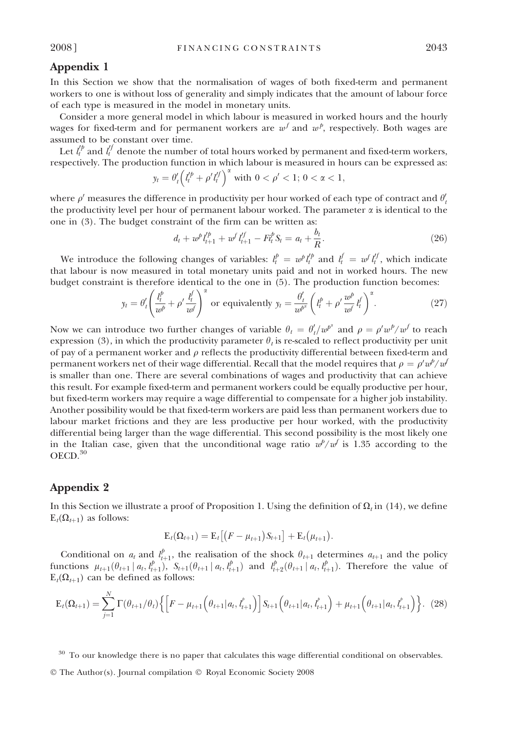## Appendix 1

In this Section we show that the normalisation of wages of both fixed-term and permanent workers to one is without loss of generality and simply indicates that the amount of labour force of each type is measured in the model in monetary units.

Consider a more general model in which labour is measured in worked hours and the hourly wages for fixed-term and for permanent workers are  $w^f$  and  $w^{\,p}$ , respectively. Both wages are assumed to be constant over time.

Let  $l'^p_i$  and  $l'^f_i$  denote the number of total hours worked by permanent and fixed-term workers, respectively. The production function in which labour is measured in hours can be expressed as:

$$
y_t = \theta'_t \left( t'^p_t + \rho' t'^f_t \right)^{\alpha}
$$
 with  $0 < \rho' < 1$ ;  $0 < \alpha < 1$ ,

where  $\rho'$  measures the difference in productivity per hour worked of each type of contract and  $\theta'_{t}$ the productivity level per hour of permanent labour worked. The parameter  $\alpha$  is identical to the one in (3). The budget constraint of the firm can be written as:

$$
d_t + w^p l_{t+1}^p + w^f l_{t+1}^f - F_t^p S_t = a_t + \frac{b_t}{R}.
$$
\n(26)

We introduce the following changes of variables:  $l_t^b = w^p l_t^{b}$  and  $l_t^f = w^f l_t^{f}$ , which indicate that labour is now measured in total monetary units paid and not in worked hours. The new budget constraint is therefore identical to the one in (5). The production function becomes:

$$
y_t = \theta'_t \left(\frac{l_t^b}{w^b} + \rho' \frac{l_t^f}{w^f}\right)^{\alpha} \text{ or equivalently } y_t = \frac{\theta'_t}{w^{p^{\alpha}}} \left(l_t^b + \rho' \frac{w^b}{w^f} l_t^f\right)^{\alpha}.
$$
 (27)

Now we can introduce two further changes of variable  $\theta_t = \theta'_t/w^{p^x}$  and  $\rho = \rho'w^p/w^f$  to reach expression (3), in which the productivity parameter  $\theta_t$  is re-scaled to reflect productivity per unit of pay of a permanent worker and  $\rho$  reflects the productivity differential between fixed-term and permanent workers net of their wage differential. Recall that the model requires that  $\rho = \rho' w^b / w^b$ is smaller than one. There are several combinations of wages and productivity that can achieve this result. For example fixed-term and permanent workers could be equally productive per hour, but fixed-term workers may require a wage differential to compensate for a higher job instability. Another possibility would be that fixed-term workers are paid less than permanent workers due to labour market frictions and they are less productive per hour worked, with the productivity differential being larger than the wage differential. This second possibility is the most likely one in the Italian case, given that the unconditional wage ratio  $w^p/w^f$  is 1.35 according to the OECD.<sup>30</sup>

### Appendix 2

In this Section we illustrate a proof of Proposition 1. Using the definition of  $\Omega_t$  in (14), we define  $E_t(\Omega_{t+1})$  as follows:

$$
E_t(\Omega_{t+1}) = E_t [(F - \mu_{t+1}) S_{t+1}] + E_t (\mu_{t+1}).
$$

Conditional on  $a_t$  and  $l_{t+1}^p$ , the realisation of the shock  $\theta_{t+1}$  determines  $a_{t+1}$  and the policy functions  $\mu_{t+1}(\theta_{t+1} | a_t, t_{t+1}^p)$ ,  $S_{t+1}(\theta_{t+1} | a_t, t_{t+1}^p)$  and  $l_{t+2}^p(\theta_{t+1} | a_t, t_{t+1}^p)$ . Therefore the value of  $E_t(\Omega_{t+1})$  can be defined as follows:

$$
\mathcal{E}_{t}(\Omega_{t+1}) = \sum_{j=1}^{N} \Gamma(\theta_{t+1}/\theta_{t}) \left\{ \left[ F - \mu_{t+1} \left( \theta_{t+1} | a_{t}, t_{t+1}^{p} \right) \right] S_{t+1} \left( \theta_{t+1} | a_{t}, t_{t+1}^{p} \right) + \mu_{t+1} \left( \theta_{t+1} | a_{t}, t_{t+1}^{p} \right) \right\}.
$$
 (28)

<sup>30</sup> To our knowledge there is no paper that calculates this wage differential conditional on observables.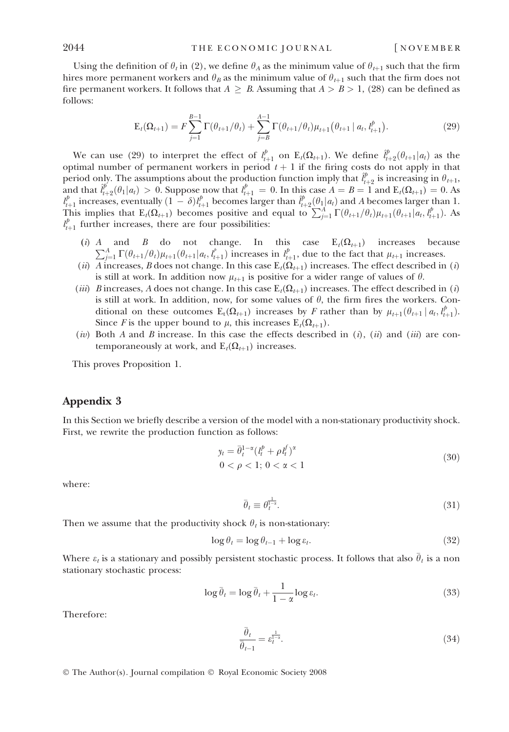Using the definition of  $\theta_t$  in (2), we define  $\theta_A$  as the minimum value of  $\theta_{t+1}$  such that the firm hires more permanent workers and  $\theta_B$  as the minimum value of  $\theta_{t+1}$  such that the firm does not fire permanent workers. It follows that  $A \geq B$ . Assuming that  $A > B > 1$ , (28) can be defined as follows:

$$
\mathbf{E}_{t}(\Omega_{t+1}) = F \sum_{j=1}^{B-1} \Gamma(\theta_{t+1}/\theta_{t}) + \sum_{j=B}^{A-1} \Gamma(\theta_{t+1}/\theta_{t}) \mu_{t+1}(\theta_{t+1} | a_{t}, t_{t+1}^{p}).
$$
\n(29)

We can use (29) to interpret the effect of  $l_{t+1}^p$  on  $E_t(\Omega_{t+1})$ . We define  $\hat{l}_{t+2}^p(\theta_{t+1}|a_t)$  as the optimal number of permanent workers in period  $t + 1$  if the firing costs do not apply in that period only. The assumptions about the production function imply that  $\hat{l}^b_{t+2}$  is increasing in  $\theta_{t+1}$ , and that  $\hat{l}_{t+2}^p(\theta_1|a_t) > 0$ . Suppose now that  $l_{t+1}^p = 0$ . In this case  $A = B = 1$  and  $E_t(\Omega_{t+1}) = 0$ . As  $l_{t+1}^p$  increases, eventually  $(1 - \delta)l_{t+1}^p$  becomes larger than  $\hat{l}_{t+2}^p(\theta_1|a_t)$  and A becomes larger than 1.<br>This implies that  $\mathbb{E}_t(\Omega_{t+1})$  becomes positive and equal to  $\sum_{j=1}^A \Gamma(\theta_{t+1}/\theta_t) \mu_{t+1}(\theta_{t+1$  $l_{t+1}^{p}$  further increases, there are four possibilities:

- (i) A and B do not change. In this case  $E_t(\Omega_{t+1})$  increases because  $\sum_{j=1}^A \Gamma(\theta_{t+1}/\theta_t) \mu_{t+1}(\theta_{t+1}|a_t, t'_{t+1})$  increases in  $l'_{t+1}$ , due to the fact that  $\mu_{t+1}$  increases.
- (ii) A increases, B does not change. In this case  $E_t(\Omega_{t+1})$  increases. The effect described in (i) is still at work. In addition now  $\mu_{t+1}$  is positive for a wider range of values of  $\theta$ .
- (*iii*) B increases, A does not change. In this case  $E_t(\Omega_{t+1})$  increases. The effect described in (*i*) is still at work. In addition, now, for some values of  $\theta$ , the firm fires the workers. Conditional on these outcomes  $E_t(\Omega_{t+1})$  increases by F rather than by  $\mu_{t+1}(\theta_{t+1} | a_t, l_{t+1}^p)$ . Since F is the upper bound to  $\mu$ , this increases  $E_t(\Omega_{t+1})$ .
- (iv) Both A and B increase. In this case the effects described in (i), (ii) and (iii) are contemporaneously at work, and  $E_t(\Omega_{t+1})$  increases.

This proves Proposition 1.

### Appendix 3

In this Section we briefly describe a version of the model with a non-stationary productivity shock. First, we rewrite the production function as follows:

$$
y_t = \bar{\theta}_t^{1-\alpha} (l_t^{\dot{p}} + \rho l_t^f)^{\alpha}
$$
  
0 < \rho < 1; 0 < \alpha < 1

where:

$$
\bar{\theta}_t \equiv \theta_t^{\frac{1}{1-s}}.\tag{31}
$$

Then we assume that the productivity shock  $\theta_t$  is non-stationary:

$$
\log \theta_t = \log \theta_{t-1} + \log \varepsilon_t. \tag{32}
$$

Where  $\varepsilon_t$  is a stationary and possibly persistent stochastic process. It follows that also  $\bar{\theta}_t$  is a non stationary stochastic process:

$$
\log \bar{\theta}_t = \log \bar{\theta}_t + \frac{1}{1-\alpha} \log \varepsilon_t.
$$
\n(33)

Therefore:

$$
\frac{\overline{\theta}_t}{\overline{\theta}_{t-1}} = \varepsilon_t^{\frac{1}{1-z}}.
$$
\n(34)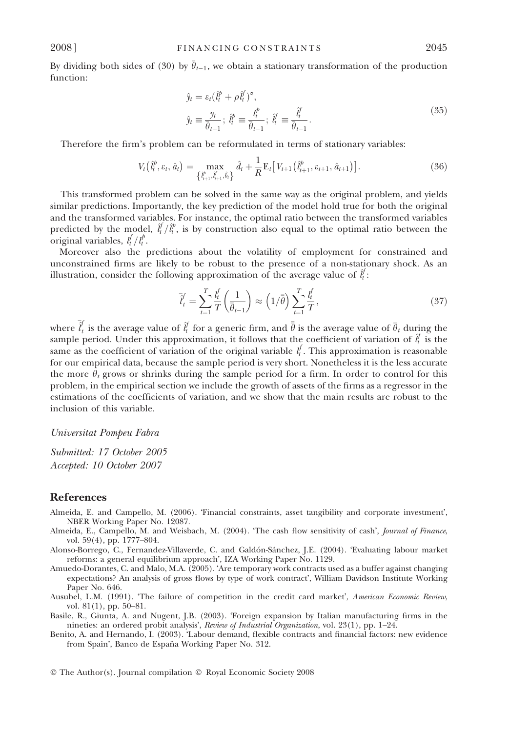By dividing both sides of (30) by  $\theta_{t-1}$ , we obtain a stationary transformation of the production function:

$$
\hat{y}_t = \varepsilon_t (\hat{l}_t^p + \rho \hat{l}_t^f)^{\alpha},
$$
\n
$$
\hat{y}_t \equiv \frac{y_t}{\overline{\theta}_{t-1}}; \ \hat{l}_t^p \equiv \frac{l_t^p}{\overline{\theta}_{t-1}}; \ \hat{l}_t^f \equiv \frac{\hat{l}_t^f}{\overline{\theta}_{t-1}}.
$$
\n(35)

Therefore the firm's problem can be reformulated in terms of stationary variables:

$$
V_t(\hat{l}_t^p, \varepsilon_t, \hat{a}_t) = \max_{\{\hat{l}_{t+1}^p, \hat{l}_{t+1}^j, \hat{b}_t\}} \hat{d}_t + \frac{1}{R} \mathcal{E}_t \big[ V_{t+1}(\hat{l}_{t+1}^p, \varepsilon_{t+1}, \hat{a}_{t+1}) \big]. \tag{36}
$$

This transformed problem can be solved in the same way as the original problem, and yields similar predictions. Importantly, the key prediction of the model hold true for both the original and the transformed variables. For instance, the optimal ratio between the transformed variables predicted by the model,  $\hat{l}_t^f / \hat{l}_t^b$ , is by construction also equal to the optimal ratio between the original variables,  $l_t^f / l_t^p$ .

Moreover also the predictions about the volatility of employment for constrained and unconstrained firms are likely to be robust to the presence of a non-stationary shock. As an illustration, consider the following approximation of the average value of  $\hat{l}_i^f$ :

$$
\overline{\hat{l}}_t^f = \sum_{t=1}^T \frac{l_t^f}{T} \left(\frac{1}{\overline{\theta}_{t-1}}\right) \approx \left(1/\overline{\overline{\theta}}\right) \sum_{t=1}^T \frac{l_t^f}{T},\tag{37}
$$

where  $\bar{\hat{i}}_t^f$  is the average value of  $\hat{i}_t^f$  for a generic firm, and  $\bar{\bar{\theta}}$  is the average value of  $\bar{\theta}_t$  during the sample period. Under this approximation, it follows that the coefficient of variation of  $\hat{l}_t^f$  is the same as the coefficient of variation of the original variable  $l_t^f$ . This approximation is reasonable for our empirical data, because the sample period is very short. Nonetheless it is the less accurate the more  $\theta_t$  grows or shrinks during the sample period for a firm. In order to control for this problem, in the empirical section we include the growth of assets of the firms as a regressor in the estimations of the coefficients of variation, and we show that the main results are robust to the inclusion of this variable.

#### Universitat Pompeu Fabra

Submitted: 17 October 2005 Accepted: 10 October 2007

## References

- Almeida, E. and Campello, M. (2006). 'Financial constraints, asset tangibility and corporate investment', NBER Working Paper No. 12087.
- Almeida, E., Campello, M. and Weisbach, M. (2004). 'The cash flow sensitivity of cash', *Journal of Finance*, vol. 59(4), pp. 1777–804.
- Alonso-Borrego, C., Fernandez-Villaverde, C. and Galdón-Sánchez, J.E. (2004). 'Evaluating labour market reforms: a general equilibrium approach', IZA Working Paper No. 1129.
- Amuedo-Dorantes, C. and Malo, M.A. (2005). -Are temporary work contracts used as a buffer against changing expectations? An analysis of gross flows by type of work contract, William Davidson Institute Working Paper No. 646.
- Ausubel, L.M. (1991). 'The failure of competition in the credit card market', American Economic Review, vol. 81(1), pp. 50–81.
- Basile, R., Giunta, A. and Nugent, J.B. (2003). 'Foreign expansion by Italian manufacturing firms in the nineties: an ordered probit analysis', Review of Industrial Organization, vol. 23(1), pp. 1–24.
- Benito, A. and Hernando, I. (2003). 'Labour demand, flexible contracts and financial factors: new evidence from Spain', Banco de España Working Paper No. 312.